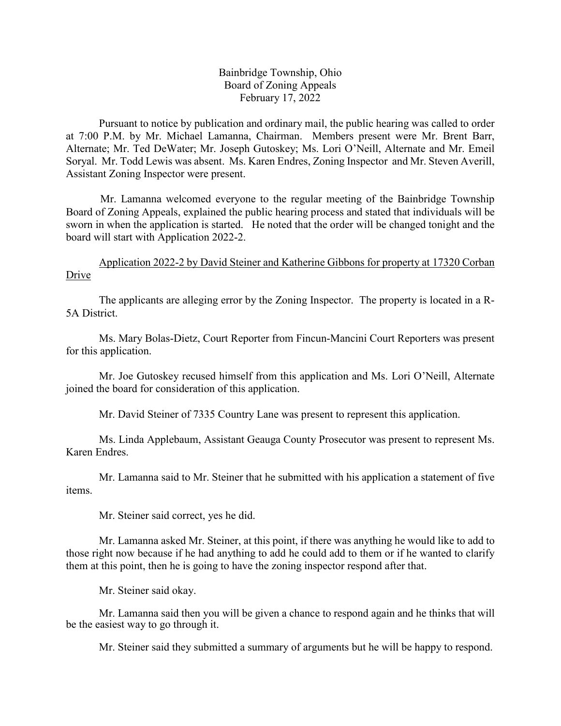## Bainbridge Township, Ohio Board of Zoning Appeals February 17, 2022

Pursuant to notice by publication and ordinary mail, the public hearing was called to order at 7:00 P.M. by Mr. Michael Lamanna, Chairman. Members present were Mr. Brent Barr, Alternate; Mr. Ted DeWater; Mr. Joseph Gutoskey; Ms. Lori O'Neill, Alternate and Mr. Emeil Soryal. Mr. Todd Lewis was absent. Ms. Karen Endres, Zoning Inspector and Mr. Steven Averill, Assistant Zoning Inspector were present.

Mr. Lamanna welcomed everyone to the regular meeting of the Bainbridge Township Board of Zoning Appeals, explained the public hearing process and stated that individuals will be sworn in when the application is started. He noted that the order will be changed tonight and the board will start with Application 2022-2.

Application 2022-2 by David Steiner and Katherine Gibbons for property at 17320 Corban Drive

The applicants are alleging error by the Zoning Inspector. The property is located in a R-5A District.

Ms. Mary Bolas-Dietz, Court Reporter from Fincun-Mancini Court Reporters was present for this application.

Mr. Joe Gutoskey recused himself from this application and Ms. Lori O'Neill, Alternate joined the board for consideration of this application.

Mr. David Steiner of 7335 Country Lane was present to represent this application.

Ms. Linda Applebaum, Assistant Geauga County Prosecutor was present to represent Ms. Karen Endres.

Mr. Lamanna said to Mr. Steiner that he submitted with his application a statement of five items.

Mr. Steiner said correct, yes he did.

Mr. Lamanna asked Mr. Steiner, at this point, if there was anything he would like to add to those right now because if he had anything to add he could add to them or if he wanted to clarify them at this point, then he is going to have the zoning inspector respond after that.

Mr. Steiner said okay.

Mr. Lamanna said then you will be given a chance to respond again and he thinks that will be the easiest way to go through it.

Mr. Steiner said they submitted a summary of arguments but he will be happy to respond.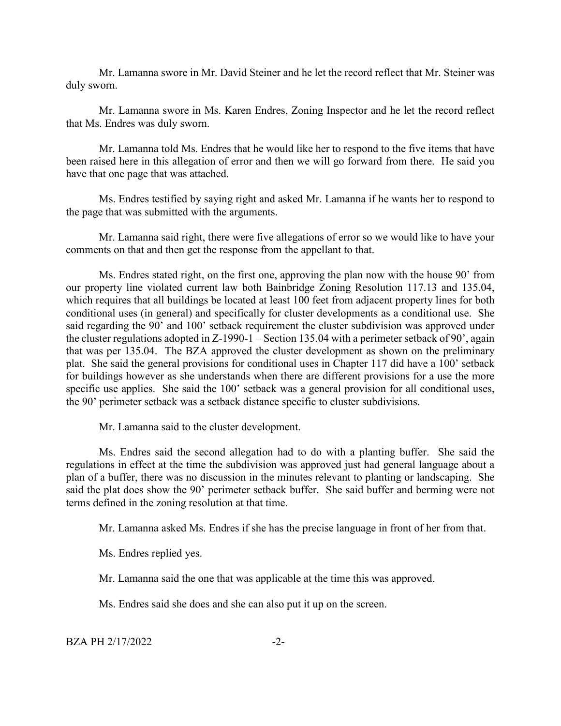Mr. Lamanna swore in Mr. David Steiner and he let the record reflect that Mr. Steiner was duly sworn.

Mr. Lamanna swore in Ms. Karen Endres, Zoning Inspector and he let the record reflect that Ms. Endres was duly sworn.

Mr. Lamanna told Ms. Endres that he would like her to respond to the five items that have been raised here in this allegation of error and then we will go forward from there. He said you have that one page that was attached.

Ms. Endres testified by saying right and asked Mr. Lamanna if he wants her to respond to the page that was submitted with the arguments.

Mr. Lamanna said right, there were five allegations of error so we would like to have your comments on that and then get the response from the appellant to that.

Ms. Endres stated right, on the first one, approving the plan now with the house 90' from our property line violated current law both Bainbridge Zoning Resolution 117.13 and 135.04, which requires that all buildings be located at least 100 feet from adjacent property lines for both conditional uses (in general) and specifically for cluster developments as a conditional use. She said regarding the 90' and 100' setback requirement the cluster subdivision was approved under the cluster regulations adopted in Z-1990-1 – Section 135.04 with a perimeter setback of 90', again that was per 135.04. The BZA approved the cluster development as shown on the preliminary plat. She said the general provisions for conditional uses in Chapter 117 did have a 100' setback for buildings however as she understands when there are different provisions for a use the more specific use applies. She said the 100' setback was a general provision for all conditional uses, the 90' perimeter setback was a setback distance specific to cluster subdivisions.

Mr. Lamanna said to the cluster development.

Ms. Endres said the second allegation had to do with a planting buffer. She said the regulations in effect at the time the subdivision was approved just had general language about a plan of a buffer, there was no discussion in the minutes relevant to planting or landscaping. She said the plat does show the 90' perimeter setback buffer. She said buffer and berming were not terms defined in the zoning resolution at that time.

Mr. Lamanna asked Ms. Endres if she has the precise language in front of her from that.

Ms. Endres replied yes.

Mr. Lamanna said the one that was applicable at the time this was approved.

Ms. Endres said she does and she can also put it up on the screen.

 $BZA PH 2/17/2022$   $-2-$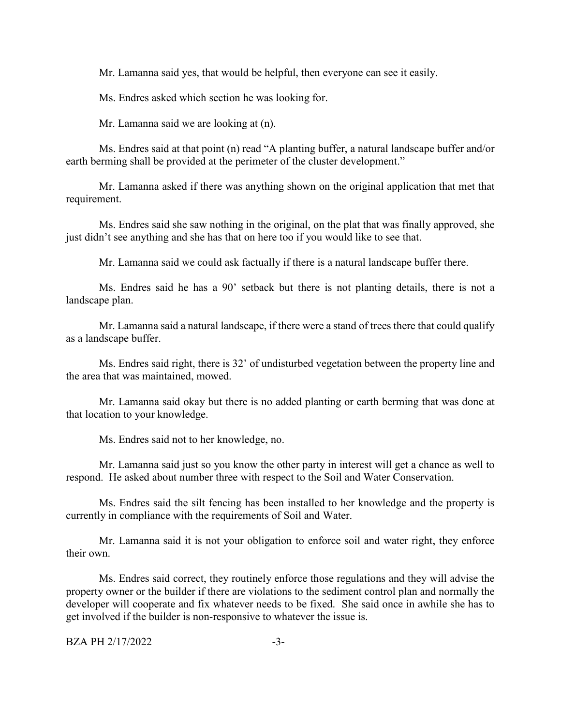Mr. Lamanna said yes, that would be helpful, then everyone can see it easily.

Ms. Endres asked which section he was looking for.

Mr. Lamanna said we are looking at (n).

Ms. Endres said at that point (n) read "A planting buffer, a natural landscape buffer and/or earth berming shall be provided at the perimeter of the cluster development."

Mr. Lamanna asked if there was anything shown on the original application that met that requirement.

Ms. Endres said she saw nothing in the original, on the plat that was finally approved, she just didn't see anything and she has that on here too if you would like to see that.

Mr. Lamanna said we could ask factually if there is a natural landscape buffer there.

Ms. Endres said he has a 90' setback but there is not planting details, there is not a landscape plan.

Mr. Lamanna said a natural landscape, if there were a stand of trees there that could qualify as a landscape buffer.

Ms. Endres said right, there is 32' of undisturbed vegetation between the property line and the area that was maintained, mowed.

Mr. Lamanna said okay but there is no added planting or earth berming that was done at that location to your knowledge.

Ms. Endres said not to her knowledge, no.

Mr. Lamanna said just so you know the other party in interest will get a chance as well to respond. He asked about number three with respect to the Soil and Water Conservation.

Ms. Endres said the silt fencing has been installed to her knowledge and the property is currently in compliance with the requirements of Soil and Water.

Mr. Lamanna said it is not your obligation to enforce soil and water right, they enforce their own.

Ms. Endres said correct, they routinely enforce those regulations and they will advise the property owner or the builder if there are violations to the sediment control plan and normally the developer will cooperate and fix whatever needs to be fixed. She said once in awhile she has to get involved if the builder is non-responsive to whatever the issue is.

BZA PH 2/17/2022 -3-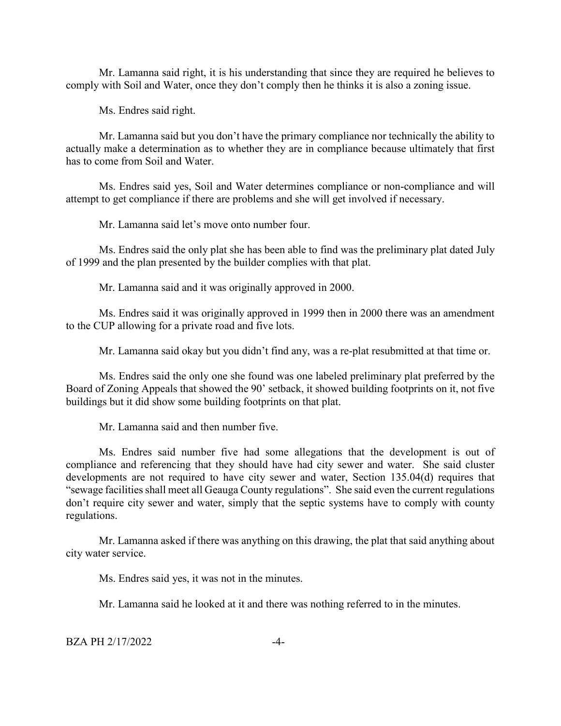Mr. Lamanna said right, it is his understanding that since they are required he believes to comply with Soil and Water, once they don't comply then he thinks it is also a zoning issue.

Ms. Endres said right.

Mr. Lamanna said but you don't have the primary compliance nor technically the ability to actually make a determination as to whether they are in compliance because ultimately that first has to come from Soil and Water.

Ms. Endres said yes, Soil and Water determines compliance or non-compliance and will attempt to get compliance if there are problems and she will get involved if necessary.

Mr. Lamanna said let's move onto number four.

Ms. Endres said the only plat she has been able to find was the preliminary plat dated July of 1999 and the plan presented by the builder complies with that plat.

Mr. Lamanna said and it was originally approved in 2000.

Ms. Endres said it was originally approved in 1999 then in 2000 there was an amendment to the CUP allowing for a private road and five lots.

Mr. Lamanna said okay but you didn't find any, was a re-plat resubmitted at that time or.

Ms. Endres said the only one she found was one labeled preliminary plat preferred by the Board of Zoning Appeals that showed the 90' setback, it showed building footprints on it, not five buildings but it did show some building footprints on that plat.

Mr. Lamanna said and then number five.

Ms. Endres said number five had some allegations that the development is out of compliance and referencing that they should have had city sewer and water. She said cluster developments are not required to have city sewer and water, Section 135.04(d) requires that "sewage facilities shall meet all Geauga County regulations". She said even the current regulations don't require city sewer and water, simply that the septic systems have to comply with county regulations.

Mr. Lamanna asked if there was anything on this drawing, the plat that said anything about city water service.

Ms. Endres said yes, it was not in the minutes.

Mr. Lamanna said he looked at it and there was nothing referred to in the minutes.

BZA PH 2/17/2022 -4-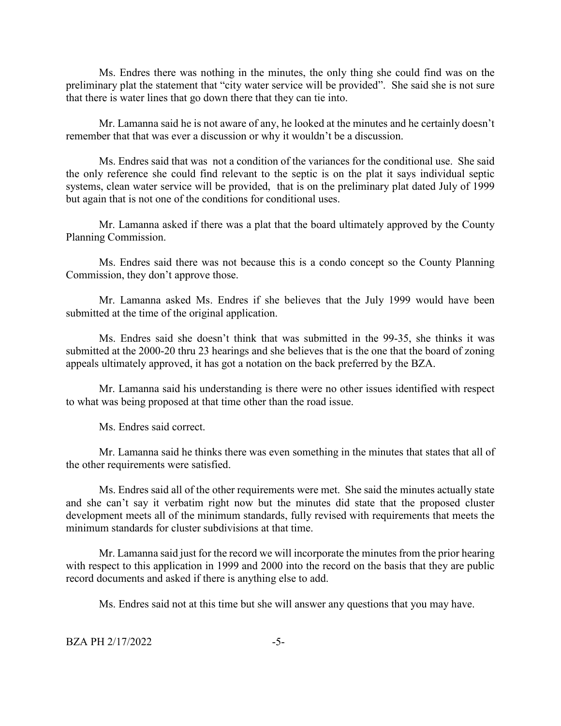Ms. Endres there was nothing in the minutes, the only thing she could find was on the preliminary plat the statement that "city water service will be provided". She said she is not sure that there is water lines that go down there that they can tie into.

Mr. Lamanna said he is not aware of any, he looked at the minutes and he certainly doesn't remember that that was ever a discussion or why it wouldn't be a discussion.

Ms. Endres said that was not a condition of the variances for the conditional use. She said the only reference she could find relevant to the septic is on the plat it says individual septic systems, clean water service will be provided, that is on the preliminary plat dated July of 1999 but again that is not one of the conditions for conditional uses.

Mr. Lamanna asked if there was a plat that the board ultimately approved by the County Planning Commission.

Ms. Endres said there was not because this is a condo concept so the County Planning Commission, they don't approve those.

Mr. Lamanna asked Ms. Endres if she believes that the July 1999 would have been submitted at the time of the original application.

Ms. Endres said she doesn't think that was submitted in the 99-35, she thinks it was submitted at the 2000-20 thru 23 hearings and she believes that is the one that the board of zoning appeals ultimately approved, it has got a notation on the back preferred by the BZA.

Mr. Lamanna said his understanding is there were no other issues identified with respect to what was being proposed at that time other than the road issue.

Ms. Endres said correct.

Mr. Lamanna said he thinks there was even something in the minutes that states that all of the other requirements were satisfied.

Ms. Endres said all of the other requirements were met. She said the minutes actually state and she can't say it verbatim right now but the minutes did state that the proposed cluster development meets all of the minimum standards, fully revised with requirements that meets the minimum standards for cluster subdivisions at that time.

Mr. Lamanna said just for the record we will incorporate the minutes from the prior hearing with respect to this application in 1999 and 2000 into the record on the basis that they are public record documents and asked if there is anything else to add.

Ms. Endres said not at this time but she will answer any questions that you may have.

 $BZA PH 2/17/2022$  -5-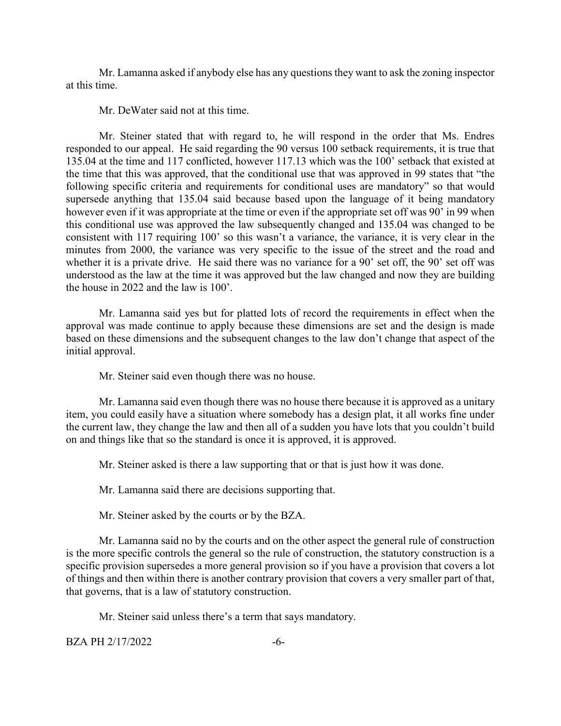Mr. Lamanna asked if anybody else has any questions they want to ask the zoning inspector at this time.

Mr. DeWater said not at this time.

Mr. Steiner stated that with regard to, he will respond in the order that Ms. Endres responded to our appeal. He said regarding the 90 versus 100 setback requirements, it is true that 135.04 at the time and 117 conflicted, however 117.13 which was the 100' setback that existed at the time that this was approved, that the conditional use that was approved in 99 states that "the following specific criteria and requirements for conditional uses are mandatory" so that would supersede anything that 135.04 said because based upon the language of it being mandatory however even if it was appropriate at the time or even if the appropriate set off was 90' in 99 when this conditional use was approved the law subsequently changed and 135.04 was changed to be consistent with 117 requiring 100' so this wasn't a variance, the variance, it is very clear in the minutes from 2000, the variance was very specific to the issue of the street and the road and whether it is a private drive. He said there was no variance for a 90' set off, the 90' set off was understood as the law at the time it was approved but the law changed and now they are building the house in 2022 and the law is 100'.

Mr. Lamanna said yes but for platted lots of record the requirements in effect when the approval was made continue to apply because these dimensions are set and the design is made based on these dimensions and the subsequent changes to the law don't change that aspect of the initial approval.

Mr. Steiner said even though there was no house.

Mr. Lamanna said even though there was no house there because it is approved as a unitary item, you could easily have a situation where somebody has a design plat, it all works fine under the current law, they change the law and then all of a sudden you have lots that you couldn't build on and things like that so the standard is once it is approved, it is approved.

Mr. Steiner asked is there a law supporting that or that is just how it was done.

Mr. Lamanna said there are decisions supporting that.

Mr. Steiner asked by the courts or by the BZA.

Mr. Lamanna said no by the courts and on the other aspect the general rule of construction is the more specific controls the general so the rule of construction, the statutory construction is a specific provision supersedes a more general provision so if you have a provision that covers a lot of things and then within there is another contrary provision that covers a very smaller part of that, that governs, that is a law of statutory construction.

Mr. Steiner said unless there's a term that says mandatory.

BZA PH 2/17/2022 -6-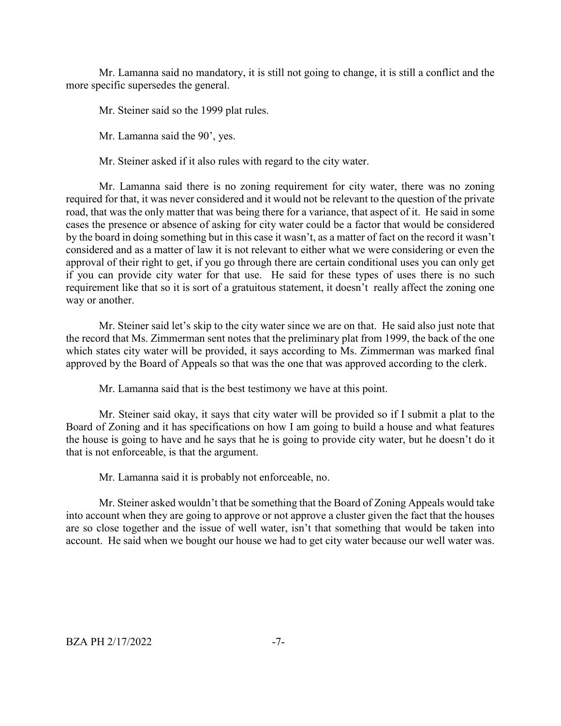Mr. Lamanna said no mandatory, it is still not going to change, it is still a conflict and the more specific supersedes the general.

Mr. Steiner said so the 1999 plat rules.

Mr. Lamanna said the 90', yes.

Mr. Steiner asked if it also rules with regard to the city water.

Mr. Lamanna said there is no zoning requirement for city water, there was no zoning required for that, it was never considered and it would not be relevant to the question of the private road, that was the only matter that was being there for a variance, that aspect of it. He said in some cases the presence or absence of asking for city water could be a factor that would be considered by the board in doing something but in this case it wasn't, as a matter of fact on the record it wasn't considered and as a matter of law it is not relevant to either what we were considering or even the approval of their right to get, if you go through there are certain conditional uses you can only get if you can provide city water for that use. He said for these types of uses there is no such requirement like that so it is sort of a gratuitous statement, it doesn't really affect the zoning one way or another.

Mr. Steiner said let's skip to the city water since we are on that. He said also just note that the record that Ms. Zimmerman sent notes that the preliminary plat from 1999, the back of the one which states city water will be provided, it says according to Ms. Zimmerman was marked final approved by the Board of Appeals so that was the one that was approved according to the clerk.

Mr. Lamanna said that is the best testimony we have at this point.

Mr. Steiner said okay, it says that city water will be provided so if I submit a plat to the Board of Zoning and it has specifications on how I am going to build a house and what features the house is going to have and he says that he is going to provide city water, but he doesn't do it that is not enforceable, is that the argument.

Mr. Lamanna said it is probably not enforceable, no.

Mr. Steiner asked wouldn't that be something that the Board of Zoning Appeals would take into account when they are going to approve or not approve a cluster given the fact that the houses are so close together and the issue of well water, isn't that something that would be taken into account. He said when we bought our house we had to get city water because our well water was.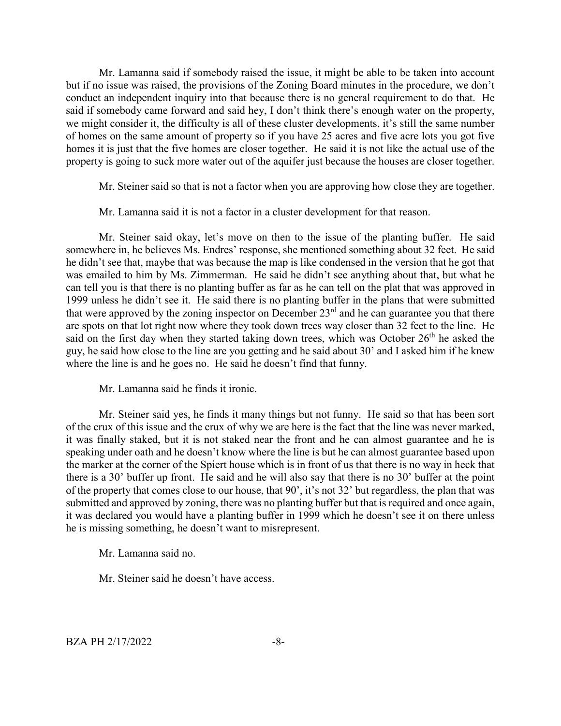Mr. Lamanna said if somebody raised the issue, it might be able to be taken into account but if no issue was raised, the provisions of the Zoning Board minutes in the procedure, we don't conduct an independent inquiry into that because there is no general requirement to do that. He said if somebody came forward and said hey, I don't think there's enough water on the property, we might consider it, the difficulty is all of these cluster developments, it's still the same number of homes on the same amount of property so if you have 25 acres and five acre lots you got five homes it is just that the five homes are closer together. He said it is not like the actual use of the property is going to suck more water out of the aquifer just because the houses are closer together.

Mr. Steiner said so that is not a factor when you are approving how close they are together.

Mr. Lamanna said it is not a factor in a cluster development for that reason.

Mr. Steiner said okay, let's move on then to the issue of the planting buffer. He said somewhere in, he believes Ms. Endres' response, she mentioned something about 32 feet. He said he didn't see that, maybe that was because the map is like condensed in the version that he got that was emailed to him by Ms. Zimmerman. He said he didn't see anything about that, but what he can tell you is that there is no planting buffer as far as he can tell on the plat that was approved in 1999 unless he didn't see it. He said there is no planting buffer in the plans that were submitted that were approved by the zoning inspector on December  $23<sup>rd</sup>$  and he can guarantee you that there are spots on that lot right now where they took down trees way closer than 32 feet to the line. He said on the first day when they started taking down trees, which was October  $26<sup>th</sup>$  he asked the guy, he said how close to the line are you getting and he said about 30' and I asked him if he knew where the line is and he goes no. He said he doesn't find that funny.

Mr. Lamanna said he finds it ironic.

Mr. Steiner said yes, he finds it many things but not funny. He said so that has been sort of the crux of this issue and the crux of why we are here is the fact that the line was never marked, it was finally staked, but it is not staked near the front and he can almost guarantee and he is speaking under oath and he doesn't know where the line is but he can almost guarantee based upon the marker at the corner of the Spiert house which is in front of us that there is no way in heck that there is a 30' buffer up front. He said and he will also say that there is no 30' buffer at the point of the property that comes close to our house, that 90', it's not 32' but regardless, the plan that was submitted and approved by zoning, there was no planting buffer but that is required and once again, it was declared you would have a planting buffer in 1999 which he doesn't see it on there unless he is missing something, he doesn't want to misrepresent.

Mr. Lamanna said no.

Mr. Steiner said he doesn't have access.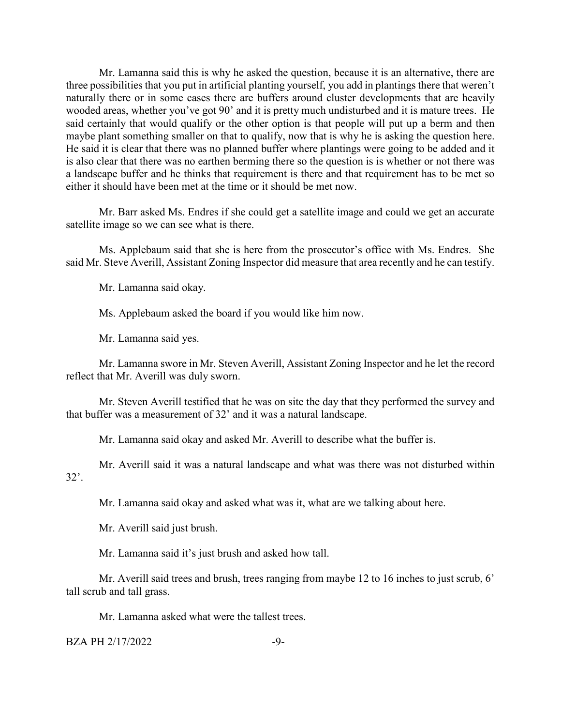Mr. Lamanna said this is why he asked the question, because it is an alternative, there are three possibilities that you put in artificial planting yourself, you add in plantings there that weren't naturally there or in some cases there are buffers around cluster developments that are heavily wooded areas, whether you've got 90' and it is pretty much undisturbed and it is mature trees. He said certainly that would qualify or the other option is that people will put up a berm and then maybe plant something smaller on that to qualify, now that is why he is asking the question here. He said it is clear that there was no planned buffer where plantings were going to be added and it is also clear that there was no earthen berming there so the question is is whether or not there was a landscape buffer and he thinks that requirement is there and that requirement has to be met so either it should have been met at the time or it should be met now.

Mr. Barr asked Ms. Endres if she could get a satellite image and could we get an accurate satellite image so we can see what is there.

Ms. Applebaum said that she is here from the prosecutor's office with Ms. Endres. She said Mr. Steve Averill, Assistant Zoning Inspector did measure that area recently and he can testify.

Mr. Lamanna said okay.

Ms. Applebaum asked the board if you would like him now.

Mr. Lamanna said yes.

Mr. Lamanna swore in Mr. Steven Averill, Assistant Zoning Inspector and he let the record reflect that Mr. Averill was duly sworn.

Mr. Steven Averill testified that he was on site the day that they performed the survey and that buffer was a measurement of 32' and it was a natural landscape.

Mr. Lamanna said okay and asked Mr. Averill to describe what the buffer is.

Mr. Averill said it was a natural landscape and what was there was not disturbed within 32'.

Mr. Lamanna said okay and asked what was it, what are we talking about here.

Mr. Averill said just brush.

Mr. Lamanna said it's just brush and asked how tall.

Mr. Averill said trees and brush, trees ranging from maybe 12 to 16 inches to just scrub, 6' tall scrub and tall grass.

Mr. Lamanna asked what were the tallest trees.

BZA PH 2/17/2022 -9-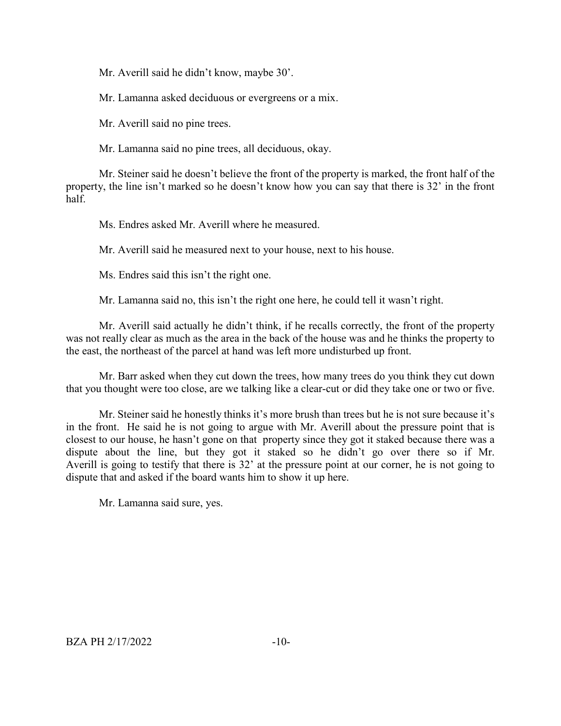Mr. Averill said he didn't know, maybe 30'.

Mr. Lamanna asked deciduous or evergreens or a mix.

Mr. Averill said no pine trees.

Mr. Lamanna said no pine trees, all deciduous, okay.

Mr. Steiner said he doesn't believe the front of the property is marked, the front half of the property, the line isn't marked so he doesn't know how you can say that there is 32' in the front half.

Ms. Endres asked Mr. Averill where he measured.

Mr. Averill said he measured next to your house, next to his house.

Ms. Endres said this isn't the right one.

Mr. Lamanna said no, this isn't the right one here, he could tell it wasn't right.

Mr. Averill said actually he didn't think, if he recalls correctly, the front of the property was not really clear as much as the area in the back of the house was and he thinks the property to the east, the northeast of the parcel at hand was left more undisturbed up front.

Mr. Barr asked when they cut down the trees, how many trees do you think they cut down that you thought were too close, are we talking like a clear-cut or did they take one or two or five.

Mr. Steiner said he honestly thinks it's more brush than trees but he is not sure because it's in the front. He said he is not going to argue with Mr. Averill about the pressure point that is closest to our house, he hasn't gone on that property since they got it staked because there was a dispute about the line, but they got it staked so he didn't go over there so if Mr. Averill is going to testify that there is 32' at the pressure point at our corner, he is not going to dispute that and asked if the board wants him to show it up here.

Mr. Lamanna said sure, yes.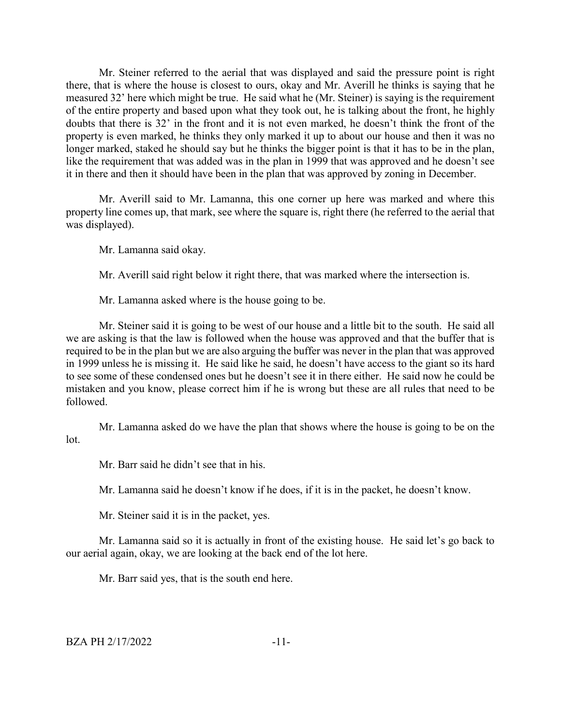Mr. Steiner referred to the aerial that was displayed and said the pressure point is right there, that is where the house is closest to ours, okay and Mr. Averill he thinks is saying that he measured 32' here which might be true. He said what he (Mr. Steiner) is saying is the requirement of the entire property and based upon what they took out, he is talking about the front, he highly doubts that there is 32' in the front and it is not even marked, he doesn't think the front of the property is even marked, he thinks they only marked it up to about our house and then it was no longer marked, staked he should say but he thinks the bigger point is that it has to be in the plan, like the requirement that was added was in the plan in 1999 that was approved and he doesn't see it in there and then it should have been in the plan that was approved by zoning in December.

Mr. Averill said to Mr. Lamanna, this one corner up here was marked and where this property line comes up, that mark, see where the square is, right there (he referred to the aerial that was displayed).

Mr. Lamanna said okay.

Mr. Averill said right below it right there, that was marked where the intersection is.

Mr. Lamanna asked where is the house going to be.

Mr. Steiner said it is going to be west of our house and a little bit to the south. He said all we are asking is that the law is followed when the house was approved and that the buffer that is required to be in the plan but we are also arguing the buffer was never in the plan that was approved in 1999 unless he is missing it. He said like he said, he doesn't have access to the giant so its hard to see some of these condensed ones but he doesn't see it in there either. He said now he could be mistaken and you know, please correct him if he is wrong but these are all rules that need to be followed.

Mr. Lamanna asked do we have the plan that shows where the house is going to be on the lot.

Mr. Barr said he didn't see that in his.

Mr. Lamanna said he doesn't know if he does, if it is in the packet, he doesn't know.

Mr. Steiner said it is in the packet, yes.

Mr. Lamanna said so it is actually in front of the existing house. He said let's go back to our aerial again, okay, we are looking at the back end of the lot here.

Mr. Barr said yes, that is the south end here.

BZA PH 2/17/2022 -11-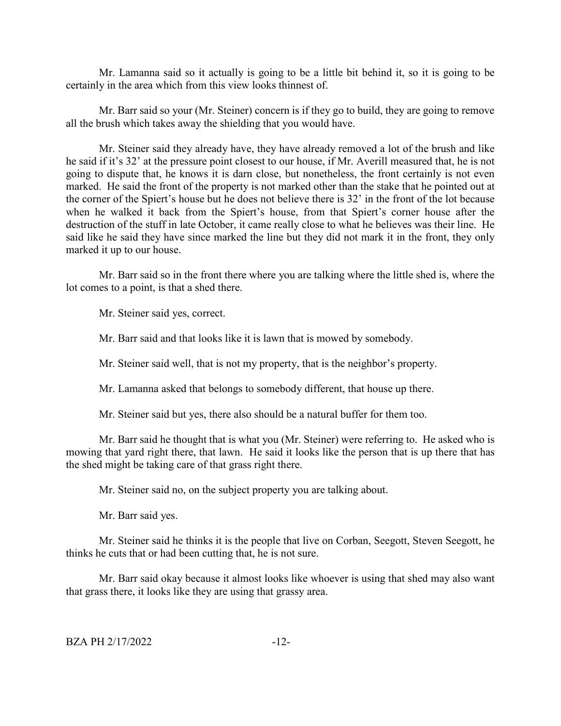Mr. Lamanna said so it actually is going to be a little bit behind it, so it is going to be certainly in the area which from this view looks thinnest of.

Mr. Barr said so your (Mr. Steiner) concern is if they go to build, they are going to remove all the brush which takes away the shielding that you would have.

Mr. Steiner said they already have, they have already removed a lot of the brush and like he said if it's 32' at the pressure point closest to our house, if Mr. Averill measured that, he is not going to dispute that, he knows it is darn close, but nonetheless, the front certainly is not even marked. He said the front of the property is not marked other than the stake that he pointed out at the corner of the Spiert's house but he does not believe there is 32' in the front of the lot because when he walked it back from the Spiert's house, from that Spiert's corner house after the destruction of the stuff in late October, it came really close to what he believes was their line. He said like he said they have since marked the line but they did not mark it in the front, they only marked it up to our house.

Mr. Barr said so in the front there where you are talking where the little shed is, where the lot comes to a point, is that a shed there.

Mr. Steiner said yes, correct.

Mr. Barr said and that looks like it is lawn that is mowed by somebody.

Mr. Steiner said well, that is not my property, that is the neighbor's property.

Mr. Lamanna asked that belongs to somebody different, that house up there.

Mr. Steiner said but yes, there also should be a natural buffer for them too.

Mr. Barr said he thought that is what you (Mr. Steiner) were referring to. He asked who is mowing that yard right there, that lawn. He said it looks like the person that is up there that has the shed might be taking care of that grass right there.

Mr. Steiner said no, on the subject property you are talking about.

Mr. Barr said yes.

Mr. Steiner said he thinks it is the people that live on Corban, Seegott, Steven Seegott, he thinks he cuts that or had been cutting that, he is not sure.

Mr. Barr said okay because it almost looks like whoever is using that shed may also want that grass there, it looks like they are using that grassy area.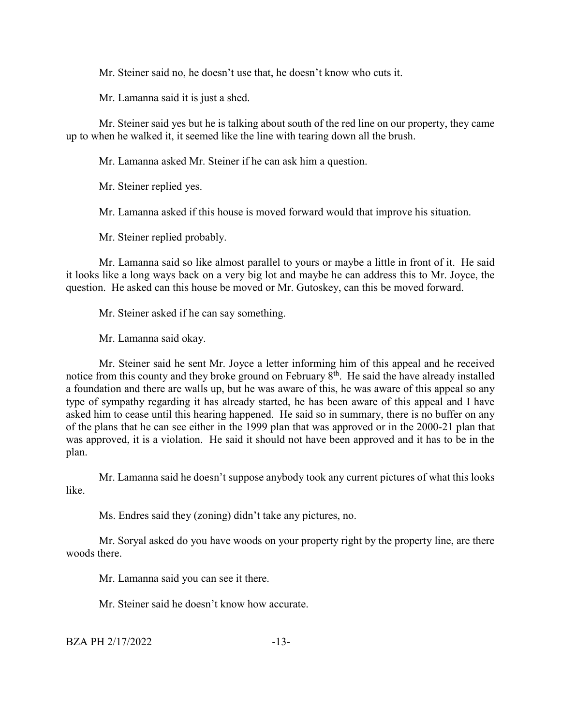Mr. Steiner said no, he doesn't use that, he doesn't know who cuts it.

Mr. Lamanna said it is just a shed.

Mr. Steiner said yes but he is talking about south of the red line on our property, they came up to when he walked it, it seemed like the line with tearing down all the brush.

Mr. Lamanna asked Mr. Steiner if he can ask him a question.

Mr. Steiner replied yes.

Mr. Lamanna asked if this house is moved forward would that improve his situation.

Mr. Steiner replied probably.

Mr. Lamanna said so like almost parallel to yours or maybe a little in front of it. He said it looks like a long ways back on a very big lot and maybe he can address this to Mr. Joyce, the question. He asked can this house be moved or Mr. Gutoskey, can this be moved forward.

Mr. Steiner asked if he can say something.

Mr. Lamanna said okay.

Mr. Steiner said he sent Mr. Joyce a letter informing him of this appeal and he received notice from this county and they broke ground on February  $8<sup>th</sup>$ . He said the have already installed a foundation and there are walls up, but he was aware of this, he was aware of this appeal so any type of sympathy regarding it has already started, he has been aware of this appeal and I have asked him to cease until this hearing happened. He said so in summary, there is no buffer on any of the plans that he can see either in the 1999 plan that was approved or in the 2000-21 plan that was approved, it is a violation. He said it should not have been approved and it has to be in the plan.

Mr. Lamanna said he doesn't suppose anybody took any current pictures of what this looks like.

Ms. Endres said they (zoning) didn't take any pictures, no.

Mr. Soryal asked do you have woods on your property right by the property line, are there woods there.

Mr. Lamanna said you can see it there.

Mr. Steiner said he doesn't know how accurate.

BZA PH 2/17/2022 -13-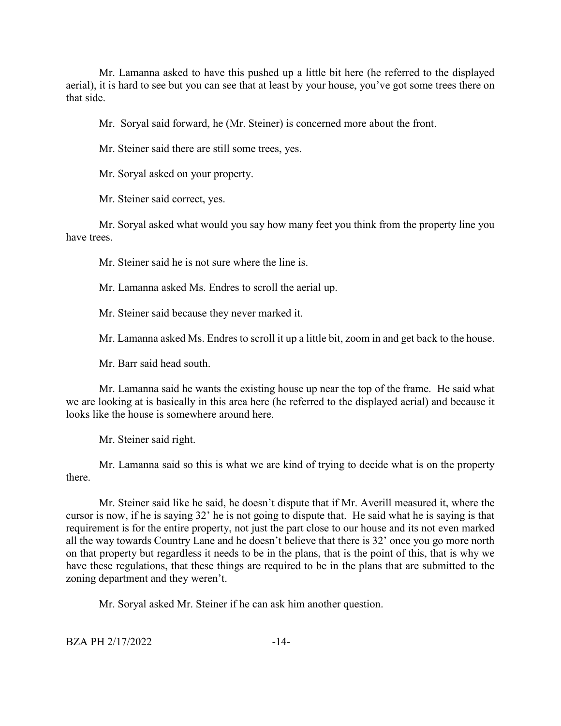Mr. Lamanna asked to have this pushed up a little bit here (he referred to the displayed aerial), it is hard to see but you can see that at least by your house, you've got some trees there on that side.

Mr. Soryal said forward, he (Mr. Steiner) is concerned more about the front.

Mr. Steiner said there are still some trees, yes.

Mr. Soryal asked on your property.

Mr. Steiner said correct, yes.

Mr. Soryal asked what would you say how many feet you think from the property line you have trees.

Mr. Steiner said he is not sure where the line is.

Mr. Lamanna asked Ms. Endres to scroll the aerial up.

Mr. Steiner said because they never marked it.

Mr. Lamanna asked Ms. Endres to scroll it up a little bit, zoom in and get back to the house.

Mr. Barr said head south.

Mr. Lamanna said he wants the existing house up near the top of the frame. He said what we are looking at is basically in this area here (he referred to the displayed aerial) and because it looks like the house is somewhere around here.

Mr. Steiner said right.

Mr. Lamanna said so this is what we are kind of trying to decide what is on the property there.

Mr. Steiner said like he said, he doesn't dispute that if Mr. Averill measured it, where the cursor is now, if he is saying 32' he is not going to dispute that. He said what he is saying is that requirement is for the entire property, not just the part close to our house and its not even marked all the way towards Country Lane and he doesn't believe that there is 32' once you go more north on that property but regardless it needs to be in the plans, that is the point of this, that is why we have these regulations, that these things are required to be in the plans that are submitted to the zoning department and they weren't.

Mr. Soryal asked Mr. Steiner if he can ask him another question.

BZA PH 2/17/2022 -14-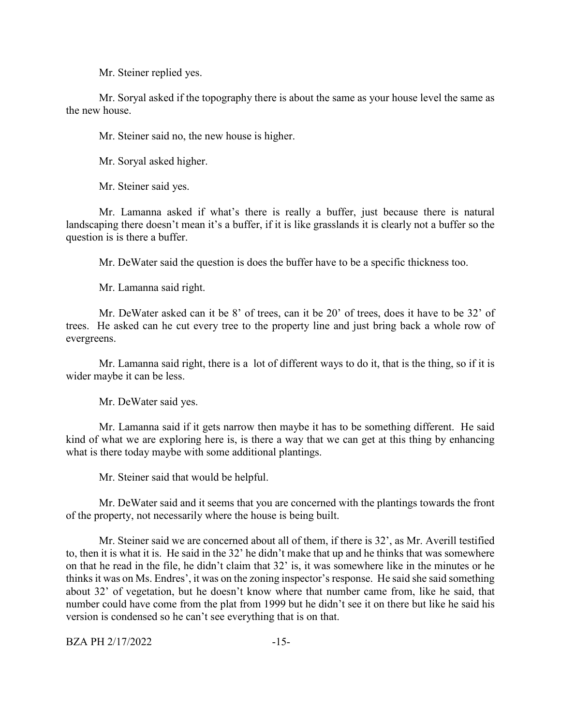Mr. Steiner replied yes.

Mr. Soryal asked if the topography there is about the same as your house level the same as the new house.

Mr. Steiner said no, the new house is higher.

Mr. Soryal asked higher.

Mr. Steiner said yes.

Mr. Lamanna asked if what's there is really a buffer, just because there is natural landscaping there doesn't mean it's a buffer, if it is like grasslands it is clearly not a buffer so the question is is there a buffer.

Mr. DeWater said the question is does the buffer have to be a specific thickness too.

Mr. Lamanna said right.

Mr. DeWater asked can it be 8' of trees, can it be 20' of trees, does it have to be 32' of trees. He asked can he cut every tree to the property line and just bring back a whole row of evergreens.

Mr. Lamanna said right, there is a lot of different ways to do it, that is the thing, so if it is wider maybe it can be less.

Mr. DeWater said yes.

Mr. Lamanna said if it gets narrow then maybe it has to be something different. He said kind of what we are exploring here is, is there a way that we can get at this thing by enhancing what is there today maybe with some additional plantings.

Mr. Steiner said that would be helpful.

Mr. DeWater said and it seems that you are concerned with the plantings towards the front of the property, not necessarily where the house is being built.

Mr. Steiner said we are concerned about all of them, if there is 32', as Mr. Averill testified to, then it is what it is. He said in the 32' he didn't make that up and he thinks that was somewhere on that he read in the file, he didn't claim that 32' is, it was somewhere like in the minutes or he thinks it was on Ms. Endres', it was on the zoning inspector's response. He said she said something about 32' of vegetation, but he doesn't know where that number came from, like he said, that number could have come from the plat from 1999 but he didn't see it on there but like he said his version is condensed so he can't see everything that is on that.

BZA PH 2/17/2022 -15-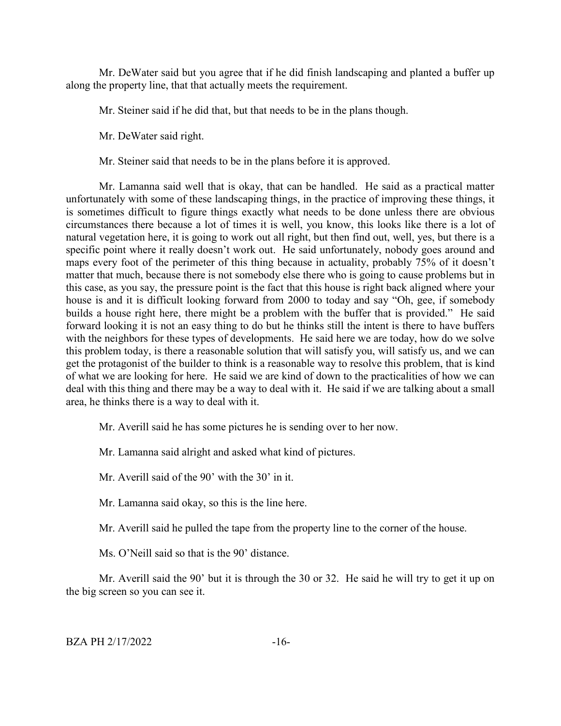Mr. DeWater said but you agree that if he did finish landscaping and planted a buffer up along the property line, that that actually meets the requirement.

Mr. Steiner said if he did that, but that needs to be in the plans though.

Mr. DeWater said right.

Mr. Steiner said that needs to be in the plans before it is approved.

Mr. Lamanna said well that is okay, that can be handled. He said as a practical matter unfortunately with some of these landscaping things, in the practice of improving these things, it is sometimes difficult to figure things exactly what needs to be done unless there are obvious circumstances there because a lot of times it is well, you know, this looks like there is a lot of natural vegetation here, it is going to work out all right, but then find out, well, yes, but there is a specific point where it really doesn't work out. He said unfortunately, nobody goes around and maps every foot of the perimeter of this thing because in actuality, probably 75% of it doesn't matter that much, because there is not somebody else there who is going to cause problems but in this case, as you say, the pressure point is the fact that this house is right back aligned where your house is and it is difficult looking forward from 2000 to today and say "Oh, gee, if somebody builds a house right here, there might be a problem with the buffer that is provided." He said forward looking it is not an easy thing to do but he thinks still the intent is there to have buffers with the neighbors for these types of developments. He said here we are today, how do we solve this problem today, is there a reasonable solution that will satisfy you, will satisfy us, and we can get the protagonist of the builder to think is a reasonable way to resolve this problem, that is kind of what we are looking for here. He said we are kind of down to the practicalities of how we can deal with this thing and there may be a way to deal with it. He said if we are talking about a small area, he thinks there is a way to deal with it.

Mr. Averill said he has some pictures he is sending over to her now.

Mr. Lamanna said alright and asked what kind of pictures.

Mr. Averill said of the 90' with the 30' in it.

Mr. Lamanna said okay, so this is the line here.

Mr. Averill said he pulled the tape from the property line to the corner of the house.

Ms. O'Neill said so that is the 90' distance.

Mr. Averill said the 90' but it is through the 30 or 32. He said he will try to get it up on the big screen so you can see it.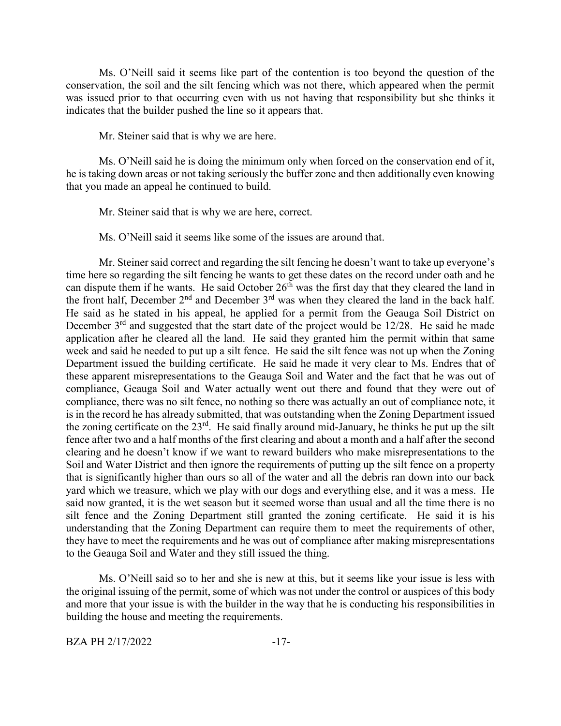Ms. O'Neill said it seems like part of the contention is too beyond the question of the conservation, the soil and the silt fencing which was not there, which appeared when the permit was issued prior to that occurring even with us not having that responsibility but she thinks it indicates that the builder pushed the line so it appears that.

Mr. Steiner said that is why we are here.

Ms. O'Neill said he is doing the minimum only when forced on the conservation end of it, he is taking down areas or not taking seriously the buffer zone and then additionally even knowing that you made an appeal he continued to build.

Mr. Steiner said that is why we are here, correct.

Ms. O'Neill said it seems like some of the issues are around that.

Mr. Steiner said correct and regarding the silt fencing he doesn't want to take up everyone's time here so regarding the silt fencing he wants to get these dates on the record under oath and he can dispute them if he wants. He said October  $26<sup>th</sup>$  was the first day that they cleared the land in the front half, December 2<sup>nd</sup> and December 3<sup>rd</sup> was when they cleared the land in the back half. He said as he stated in his appeal, he applied for a permit from the Geauga Soil District on December  $3<sup>rd</sup>$  and suggested that the start date of the project would be 12/28. He said he made application after he cleared all the land. He said they granted him the permit within that same week and said he needed to put up a silt fence. He said the silt fence was not up when the Zoning Department issued the building certificate. He said he made it very clear to Ms. Endres that of these apparent misrepresentations to the Geauga Soil and Water and the fact that he was out of compliance, Geauga Soil and Water actually went out there and found that they were out of compliance, there was no silt fence, no nothing so there was actually an out of compliance note, it is in the record he has already submitted, that was outstanding when the Zoning Department issued the zoning certificate on the  $23<sup>rd</sup>$ . He said finally around mid-January, he thinks he put up the silt fence after two and a half months of the first clearing and about a month and a half after the second clearing and he doesn't know if we want to reward builders who make misrepresentations to the Soil and Water District and then ignore the requirements of putting up the silt fence on a property that is significantly higher than ours so all of the water and all the debris ran down into our back yard which we treasure, which we play with our dogs and everything else, and it was a mess. He said now granted, it is the wet season but it seemed worse than usual and all the time there is no silt fence and the Zoning Department still granted the zoning certificate. He said it is his understanding that the Zoning Department can require them to meet the requirements of other, they have to meet the requirements and he was out of compliance after making misrepresentations to the Geauga Soil and Water and they still issued the thing.

Ms. O'Neill said so to her and she is new at this, but it seems like your issue is less with the original issuing of the permit, some of which was not under the control or auspices of this body and more that your issue is with the builder in the way that he is conducting his responsibilities in building the house and meeting the requirements.

BZA PH 2/17/2022 -17-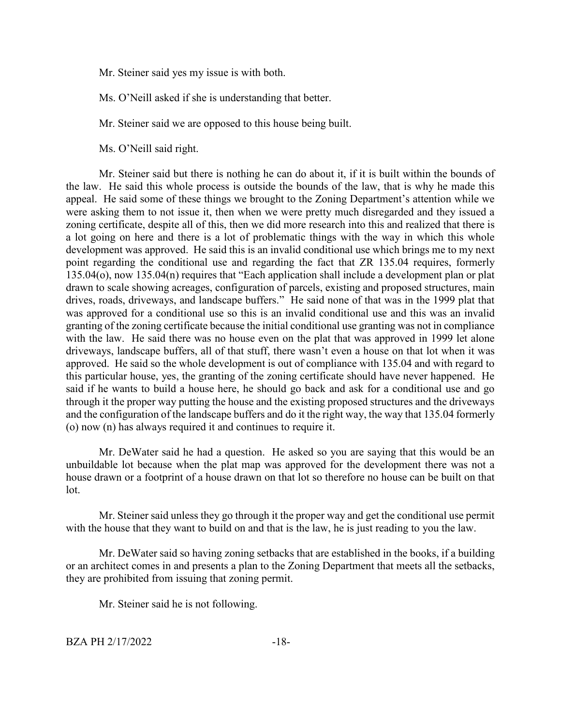Mr. Steiner said yes my issue is with both.

Ms. O'Neill asked if she is understanding that better.

Mr. Steiner said we are opposed to this house being built.

Ms. O'Neill said right.

Mr. Steiner said but there is nothing he can do about it, if it is built within the bounds of the law. He said this whole process is outside the bounds of the law, that is why he made this appeal. He said some of these things we brought to the Zoning Department's attention while we were asking them to not issue it, then when we were pretty much disregarded and they issued a zoning certificate, despite all of this, then we did more research into this and realized that there is a lot going on here and there is a lot of problematic things with the way in which this whole development was approved. He said this is an invalid conditional use which brings me to my next point regarding the conditional use and regarding the fact that ZR 135.04 requires, formerly 135.04(o), now 135.04(n) requires that "Each application shall include a development plan or plat drawn to scale showing acreages, configuration of parcels, existing and proposed structures, main drives, roads, driveways, and landscape buffers." He said none of that was in the 1999 plat that was approved for a conditional use so this is an invalid conditional use and this was an invalid granting of the zoning certificate because the initial conditional use granting was not in compliance with the law. He said there was no house even on the plat that was approved in 1999 let alone driveways, landscape buffers, all of that stuff, there wasn't even a house on that lot when it was approved. He said so the whole development is out of compliance with 135.04 and with regard to this particular house, yes, the granting of the zoning certificate should have never happened. He said if he wants to build a house here, he should go back and ask for a conditional use and go through it the proper way putting the house and the existing proposed structures and the driveways and the configuration of the landscape buffers and do it the right way, the way that 135.04 formerly (o) now (n) has always required it and continues to require it.

Mr. DeWater said he had a question. He asked so you are saying that this would be an unbuildable lot because when the plat map was approved for the development there was not a house drawn or a footprint of a house drawn on that lot so therefore no house can be built on that lot.

Mr. Steiner said unless they go through it the proper way and get the conditional use permit with the house that they want to build on and that is the law, he is just reading to you the law.

Mr. DeWater said so having zoning setbacks that are established in the books, if a building or an architect comes in and presents a plan to the Zoning Department that meets all the setbacks, they are prohibited from issuing that zoning permit.

Mr. Steiner said he is not following.

BZA PH 2/17/2022 -18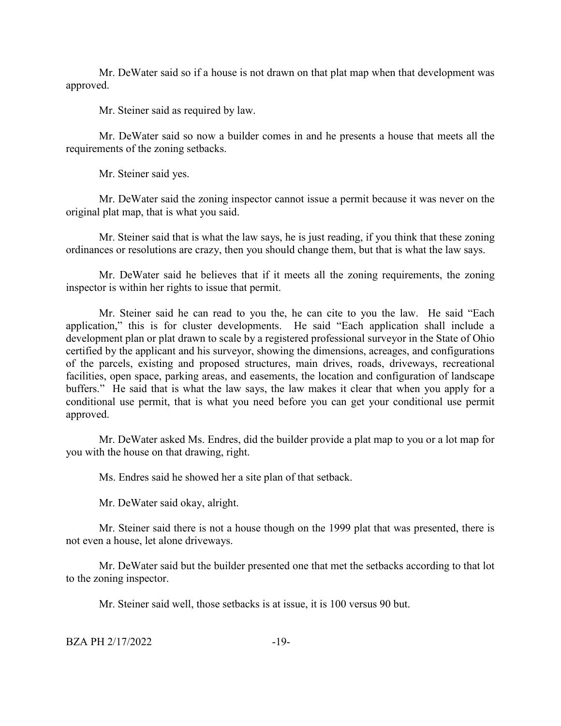Mr. DeWater said so if a house is not drawn on that plat map when that development was approved.

Mr. Steiner said as required by law.

Mr. DeWater said so now a builder comes in and he presents a house that meets all the requirements of the zoning setbacks.

Mr. Steiner said yes.

Mr. DeWater said the zoning inspector cannot issue a permit because it was never on the original plat map, that is what you said.

Mr. Steiner said that is what the law says, he is just reading, if you think that these zoning ordinances or resolutions are crazy, then you should change them, but that is what the law says.

Mr. DeWater said he believes that if it meets all the zoning requirements, the zoning inspector is within her rights to issue that permit.

Mr. Steiner said he can read to you the, he can cite to you the law. He said "Each application," this is for cluster developments. He said "Each application shall include a development plan or plat drawn to scale by a registered professional surveyor in the State of Ohio certified by the applicant and his surveyor, showing the dimensions, acreages, and configurations of the parcels, existing and proposed structures, main drives, roads, driveways, recreational facilities, open space, parking areas, and easements, the location and configuration of landscape buffers." He said that is what the law says, the law makes it clear that when you apply for a conditional use permit, that is what you need before you can get your conditional use permit approved.

Mr. DeWater asked Ms. Endres, did the builder provide a plat map to you or a lot map for you with the house on that drawing, right.

Ms. Endres said he showed her a site plan of that setback.

Mr. DeWater said okay, alright.

Mr. Steiner said there is not a house though on the 1999 plat that was presented, there is not even a house, let alone driveways.

Mr. DeWater said but the builder presented one that met the setbacks according to that lot to the zoning inspector.

Mr. Steiner said well, those setbacks is at issue, it is 100 versus 90 but.

BZA PH 2/17/2022 -19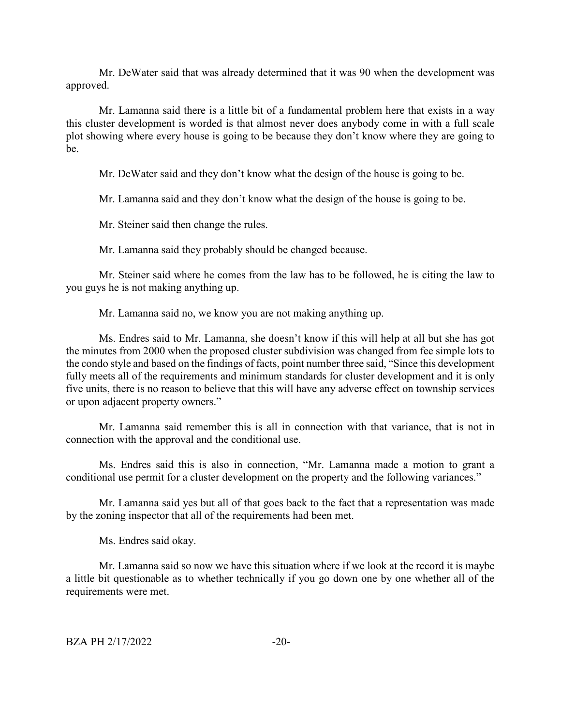Mr. DeWater said that was already determined that it was 90 when the development was approved.

Mr. Lamanna said there is a little bit of a fundamental problem here that exists in a way this cluster development is worded is that almost never does anybody come in with a full scale plot showing where every house is going to be because they don't know where they are going to be.

Mr. DeWater said and they don't know what the design of the house is going to be.

Mr. Lamanna said and they don't know what the design of the house is going to be.

Mr. Steiner said then change the rules.

Mr. Lamanna said they probably should be changed because.

Mr. Steiner said where he comes from the law has to be followed, he is citing the law to you guys he is not making anything up.

Mr. Lamanna said no, we know you are not making anything up.

Ms. Endres said to Mr. Lamanna, she doesn't know if this will help at all but she has got the minutes from 2000 when the proposed cluster subdivision was changed from fee simple lots to the condo style and based on the findings of facts, point number three said, "Since this development fully meets all of the requirements and minimum standards for cluster development and it is only five units, there is no reason to believe that this will have any adverse effect on township services or upon adjacent property owners."

Mr. Lamanna said remember this is all in connection with that variance, that is not in connection with the approval and the conditional use.

Ms. Endres said this is also in connection, "Mr. Lamanna made a motion to grant a conditional use permit for a cluster development on the property and the following variances."

Mr. Lamanna said yes but all of that goes back to the fact that a representation was made by the zoning inspector that all of the requirements had been met.

Ms. Endres said okay.

Mr. Lamanna said so now we have this situation where if we look at the record it is maybe a little bit questionable as to whether technically if you go down one by one whether all of the requirements were met.

BZA PH 2/17/2022 -20-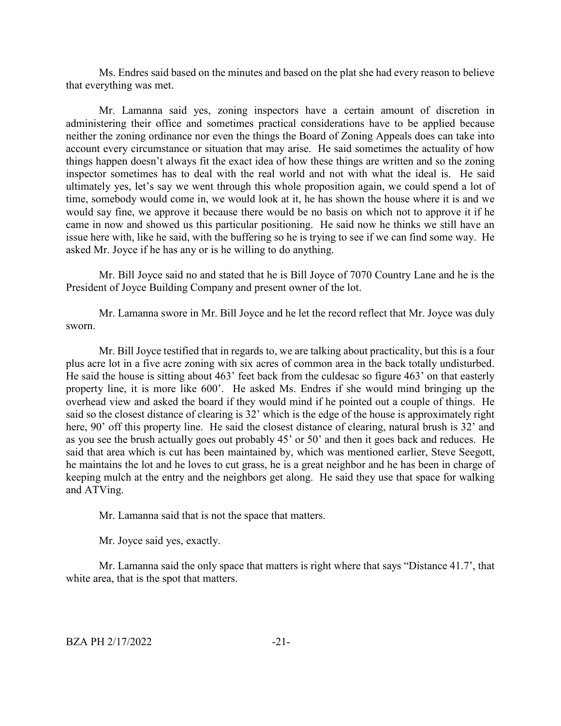Ms. Endres said based on the minutes and based on the plat she had every reason to believe that everything was met.

Mr. Lamanna said yes, zoning inspectors have a certain amount of discretion in administering their office and sometimes practical considerations have to be applied because neither the zoning ordinance nor even the things the Board of Zoning Appeals does can take into account every circumstance or situation that may arise. He said sometimes the actuality of how things happen doesn't always fit the exact idea of how these things are written and so the zoning inspector sometimes has to deal with the real world and not with what the ideal is. He said ultimately yes, let's say we went through this whole proposition again, we could spend a lot of time, somebody would come in, we would look at it, he has shown the house where it is and we would say fine, we approve it because there would be no basis on which not to approve it if he came in now and showed us this particular positioning. He said now he thinks we still have an issue here with, like he said, with the buffering so he is trying to see if we can find some way. He asked Mr. Joyce if he has any or is he willing to do anything.

Mr. Bill Joyce said no and stated that he is Bill Joyce of 7070 Country Lane and he is the President of Joyce Building Company and present owner of the lot.

Mr. Lamanna swore in Mr. Bill Joyce and he let the record reflect that Mr. Joyce was duly sworn.

Mr. Bill Joyce testified that in regards to, we are talking about practicality, but this is a four plus acre lot in a five acre zoning with six acres of common area in the back totally undisturbed. He said the house is sitting about 463' feet back from the culdesac so figure 463' on that easterly property line, it is more like 600'. He asked Ms. Endres if she would mind bringing up the overhead view and asked the board if they would mind if he pointed out a couple of things. He said so the closest distance of clearing is 32' which is the edge of the house is approximately right here, 90' off this property line. He said the closest distance of clearing, natural brush is 32' and as you see the brush actually goes out probably 45' or 50' and then it goes back and reduces. He said that area which is cut has been maintained by, which was mentioned earlier, Steve Seegott, he maintains the lot and he loves to cut grass, he is a great neighbor and he has been in charge of keeping mulch at the entry and the neighbors get along. He said they use that space for walking and ATVing.

Mr. Lamanna said that is not the space that matters.

Mr. Joyce said yes, exactly.

Mr. Lamanna said the only space that matters is right where that says "Distance 41.7', that white area, that is the spot that matters.

BZA PH 2/17/2022 -21-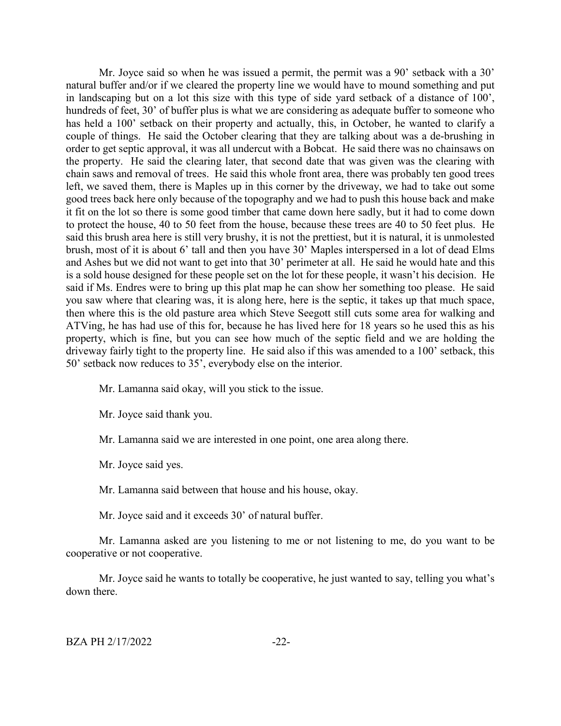Mr. Joyce said so when he was issued a permit, the permit was a 90' setback with a 30' natural buffer and/or if we cleared the property line we would have to mound something and put in landscaping but on a lot this size with this type of side yard setback of a distance of 100', hundreds of feet, 30' of buffer plus is what we are considering as adequate buffer to someone who has held a 100' setback on their property and actually, this, in October, he wanted to clarify a couple of things. He said the October clearing that they are talking about was a de-brushing in order to get septic approval, it was all undercut with a Bobcat. He said there was no chainsaws on the property. He said the clearing later, that second date that was given was the clearing with chain saws and removal of trees. He said this whole front area, there was probably ten good trees left, we saved them, there is Maples up in this corner by the driveway, we had to take out some good trees back here only because of the topography and we had to push this house back and make it fit on the lot so there is some good timber that came down here sadly, but it had to come down to protect the house, 40 to 50 feet from the house, because these trees are 40 to 50 feet plus. He said this brush area here is still very brushy, it is not the prettiest, but it is natural, it is unmolested brush, most of it is about 6' tall and then you have 30' Maples interspersed in a lot of dead Elms and Ashes but we did not want to get into that 30' perimeter at all. He said he would hate and this is a sold house designed for these people set on the lot for these people, it wasn't his decision. He said if Ms. Endres were to bring up this plat map he can show her something too please. He said you saw where that clearing was, it is along here, here is the septic, it takes up that much space, then where this is the old pasture area which Steve Seegott still cuts some area for walking and ATVing, he has had use of this for, because he has lived here for 18 years so he used this as his property, which is fine, but you can see how much of the septic field and we are holding the driveway fairly tight to the property line. He said also if this was amended to a 100' setback, this 50' setback now reduces to 35', everybody else on the interior.

Mr. Lamanna said okay, will you stick to the issue.

Mr. Joyce said thank you.

Mr. Lamanna said we are interested in one point, one area along there.

Mr. Joyce said yes.

Mr. Lamanna said between that house and his house, okay.

Mr. Joyce said and it exceeds 30' of natural buffer.

Mr. Lamanna asked are you listening to me or not listening to me, do you want to be cooperative or not cooperative.

Mr. Joyce said he wants to totally be cooperative, he just wanted to say, telling you what's down there.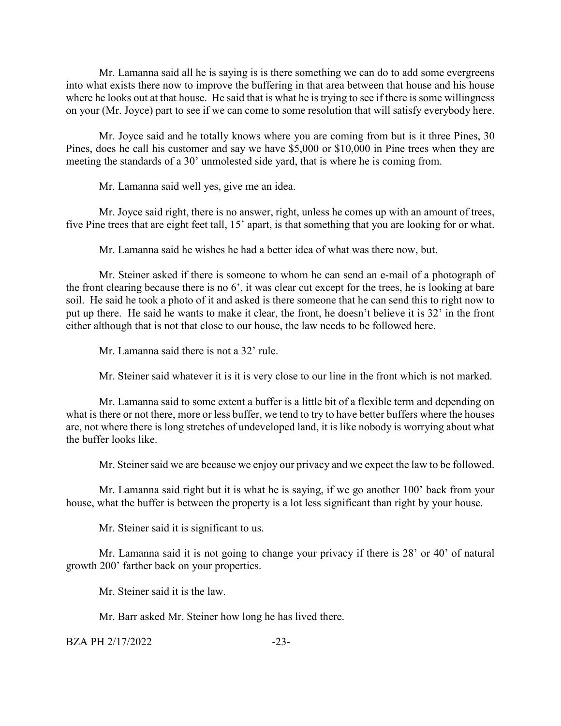Mr. Lamanna said all he is saying is is there something we can do to add some evergreens into what exists there now to improve the buffering in that area between that house and his house where he looks out at that house. He said that is what he is trying to see if there is some willingness on your (Mr. Joyce) part to see if we can come to some resolution that will satisfy everybody here.

Mr. Joyce said and he totally knows where you are coming from but is it three Pines, 30 Pines, does he call his customer and say we have \$5,000 or \$10,000 in Pine trees when they are meeting the standards of a 30' unmolested side yard, that is where he is coming from.

Mr. Lamanna said well yes, give me an idea.

Mr. Joyce said right, there is no answer, right, unless he comes up with an amount of trees, five Pine trees that are eight feet tall, 15' apart, is that something that you are looking for or what.

Mr. Lamanna said he wishes he had a better idea of what was there now, but.

Mr. Steiner asked if there is someone to whom he can send an e-mail of a photograph of the front clearing because there is no 6', it was clear cut except for the trees, he is looking at bare soil. He said he took a photo of it and asked is there someone that he can send this to right now to put up there. He said he wants to make it clear, the front, he doesn't believe it is 32' in the front either although that is not that close to our house, the law needs to be followed here.

Mr. Lamanna said there is not a 32' rule.

Mr. Steiner said whatever it is it is very close to our line in the front which is not marked.

Mr. Lamanna said to some extent a buffer is a little bit of a flexible term and depending on what is there or not there, more or less buffer, we tend to try to have better buffers where the houses are, not where there is long stretches of undeveloped land, it is like nobody is worrying about what the buffer looks like.

Mr. Steiner said we are because we enjoy our privacy and we expect the law to be followed.

Mr. Lamanna said right but it is what he is saying, if we go another 100' back from your house, what the buffer is between the property is a lot less significant than right by your house.

Mr. Steiner said it is significant to us.

Mr. Lamanna said it is not going to change your privacy if there is 28' or 40' of natural growth 200' farther back on your properties.

Mr. Steiner said it is the law.

Mr. Barr asked Mr. Steiner how long he has lived there.

BZA PH 2/17/2022 -23-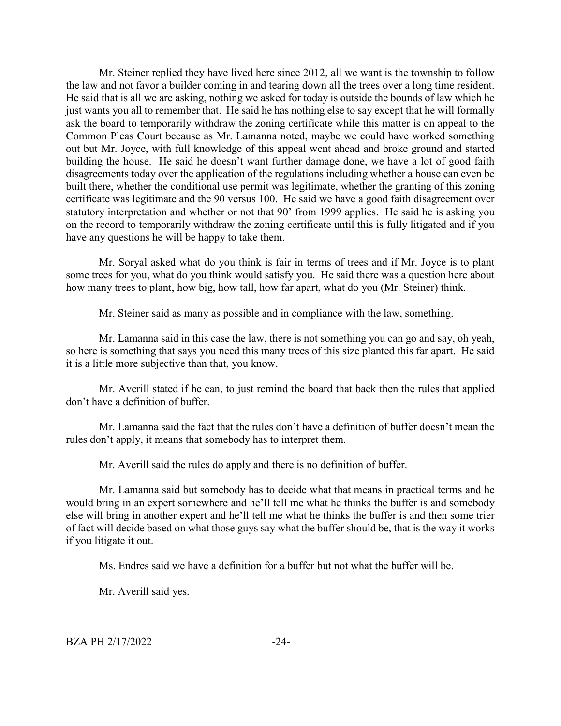Mr. Steiner replied they have lived here since 2012, all we want is the township to follow the law and not favor a builder coming in and tearing down all the trees over a long time resident. He said that is all we are asking, nothing we asked for today is outside the bounds of law which he just wants you all to remember that. He said he has nothing else to say except that he will formally ask the board to temporarily withdraw the zoning certificate while this matter is on appeal to the Common Pleas Court because as Mr. Lamanna noted, maybe we could have worked something out but Mr. Joyce, with full knowledge of this appeal went ahead and broke ground and started building the house. He said he doesn't want further damage done, we have a lot of good faith disagreements today over the application of the regulations including whether a house can even be built there, whether the conditional use permit was legitimate, whether the granting of this zoning certificate was legitimate and the 90 versus 100. He said we have a good faith disagreement over statutory interpretation and whether or not that 90' from 1999 applies. He said he is asking you on the record to temporarily withdraw the zoning certificate until this is fully litigated and if you have any questions he will be happy to take them.

Mr. Soryal asked what do you think is fair in terms of trees and if Mr. Joyce is to plant some trees for you, what do you think would satisfy you. He said there was a question here about how many trees to plant, how big, how tall, how far apart, what do you (Mr. Steiner) think.

Mr. Steiner said as many as possible and in compliance with the law, something.

Mr. Lamanna said in this case the law, there is not something you can go and say, oh yeah, so here is something that says you need this many trees of this size planted this far apart. He said it is a little more subjective than that, you know.

Mr. Averill stated if he can, to just remind the board that back then the rules that applied don't have a definition of buffer.

Mr. Lamanna said the fact that the rules don't have a definition of buffer doesn't mean the rules don't apply, it means that somebody has to interpret them.

Mr. Averill said the rules do apply and there is no definition of buffer.

Mr. Lamanna said but somebody has to decide what that means in practical terms and he would bring in an expert somewhere and he'll tell me what he thinks the buffer is and somebody else will bring in another expert and he'll tell me what he thinks the buffer is and then some trier of fact will decide based on what those guys say what the buffer should be, that is the way it works if you litigate it out.

Ms. Endres said we have a definition for a buffer but not what the buffer will be.

Mr. Averill said yes.

BZA PH 2/17/2022 -24-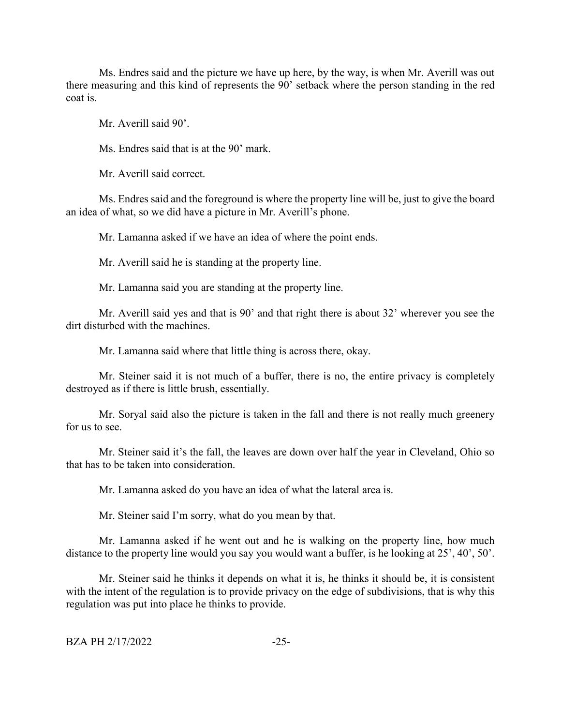Ms. Endres said and the picture we have up here, by the way, is when Mr. Averill was out there measuring and this kind of represents the 90' setback where the person standing in the red coat is.

Mr. Averill said 90'.

Ms. Endres said that is at the 90' mark.

Mr. Averill said correct.

Ms. Endres said and the foreground is where the property line will be, just to give the board an idea of what, so we did have a picture in Mr. Averill's phone.

Mr. Lamanna asked if we have an idea of where the point ends.

Mr. Averill said he is standing at the property line.

Mr. Lamanna said you are standing at the property line.

Mr. Averill said yes and that is 90' and that right there is about 32' wherever you see the dirt disturbed with the machines.

Mr. Lamanna said where that little thing is across there, okay.

Mr. Steiner said it is not much of a buffer, there is no, the entire privacy is completely destroyed as if there is little brush, essentially.

Mr. Soryal said also the picture is taken in the fall and there is not really much greenery for us to see.

Mr. Steiner said it's the fall, the leaves are down over half the year in Cleveland, Ohio so that has to be taken into consideration.

Mr. Lamanna asked do you have an idea of what the lateral area is.

Mr. Steiner said I'm sorry, what do you mean by that.

Mr. Lamanna asked if he went out and he is walking on the property line, how much distance to the property line would you say you would want a buffer, is he looking at 25', 40', 50'.

Mr. Steiner said he thinks it depends on what it is, he thinks it should be, it is consistent with the intent of the regulation is to provide privacy on the edge of subdivisions, that is why this regulation was put into place he thinks to provide.

```
BZA PH 2/17/2022 -25-
```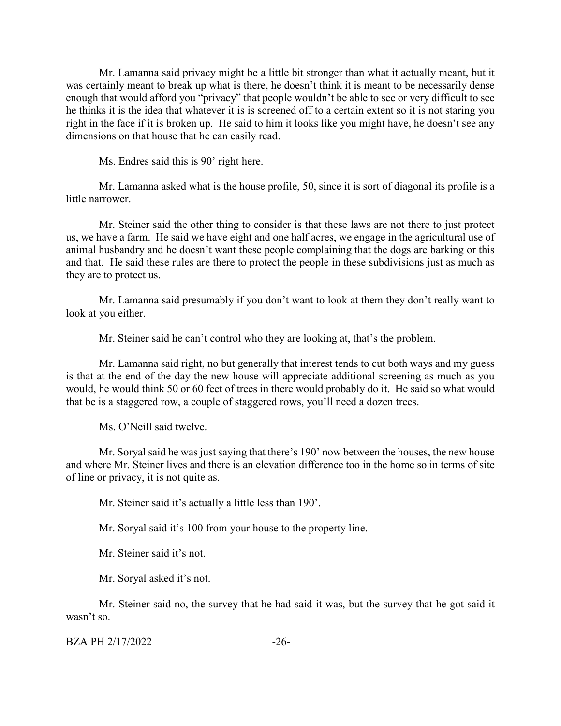Mr. Lamanna said privacy might be a little bit stronger than what it actually meant, but it was certainly meant to break up what is there, he doesn't think it is meant to be necessarily dense enough that would afford you "privacy" that people wouldn't be able to see or very difficult to see he thinks it is the idea that whatever it is is screened off to a certain extent so it is not staring you right in the face if it is broken up. He said to him it looks like you might have, he doesn't see any dimensions on that house that he can easily read.

Ms. Endres said this is 90' right here.

Mr. Lamanna asked what is the house profile, 50, since it is sort of diagonal its profile is a little narrower.

Mr. Steiner said the other thing to consider is that these laws are not there to just protect us, we have a farm. He said we have eight and one half acres, we engage in the agricultural use of animal husbandry and he doesn't want these people complaining that the dogs are barking or this and that. He said these rules are there to protect the people in these subdivisions just as much as they are to protect us.

Mr. Lamanna said presumably if you don't want to look at them they don't really want to look at you either.

Mr. Steiner said he can't control who they are looking at, that's the problem.

Mr. Lamanna said right, no but generally that interest tends to cut both ways and my guess is that at the end of the day the new house will appreciate additional screening as much as you would, he would think 50 or 60 feet of trees in there would probably do it. He said so what would that be is a staggered row, a couple of staggered rows, you'll need a dozen trees.

Ms. O'Neill said twelve.

Mr. Soryal said he was just saying that there's 190' now between the houses, the new house and where Mr. Steiner lives and there is an elevation difference too in the home so in terms of site of line or privacy, it is not quite as.

Mr. Steiner said it's actually a little less than 190'.

Mr. Soryal said it's 100 from your house to the property line.

Mr. Steiner said it's not.

Mr. Soryal asked it's not.

Mr. Steiner said no, the survey that he had said it was, but the survey that he got said it wasn't so.

BZA PH 2/17/2022 -26-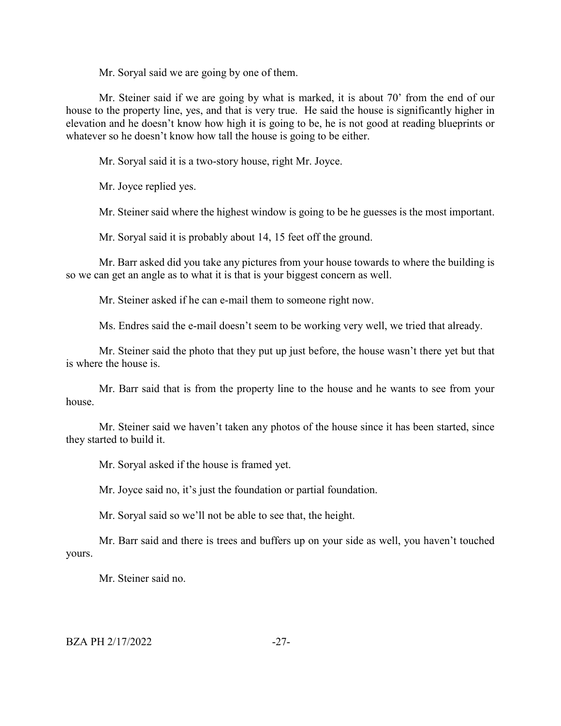Mr. Soryal said we are going by one of them.

Mr. Steiner said if we are going by what is marked, it is about 70' from the end of our house to the property line, yes, and that is very true. He said the house is significantly higher in elevation and he doesn't know how high it is going to be, he is not good at reading blueprints or whatever so he doesn't know how tall the house is going to be either.

Mr. Soryal said it is a two-story house, right Mr. Joyce.

Mr. Joyce replied yes.

Mr. Steiner said where the highest window is going to be he guesses is the most important.

Mr. Soryal said it is probably about 14, 15 feet off the ground.

Mr. Barr asked did you take any pictures from your house towards to where the building is so we can get an angle as to what it is that is your biggest concern as well.

Mr. Steiner asked if he can e-mail them to someone right now.

Ms. Endres said the e-mail doesn't seem to be working very well, we tried that already.

Mr. Steiner said the photo that they put up just before, the house wasn't there yet but that is where the house is.

Mr. Barr said that is from the property line to the house and he wants to see from your house.

Mr. Steiner said we haven't taken any photos of the house since it has been started, since they started to build it.

Mr. Soryal asked if the house is framed yet.

Mr. Joyce said no, it's just the foundation or partial foundation.

Mr. Soryal said so we'll not be able to see that, the height.

Mr. Barr said and there is trees and buffers up on your side as well, you haven't touched yours.

Mr. Steiner said no.

#### BZA PH 2/17/2022 -27-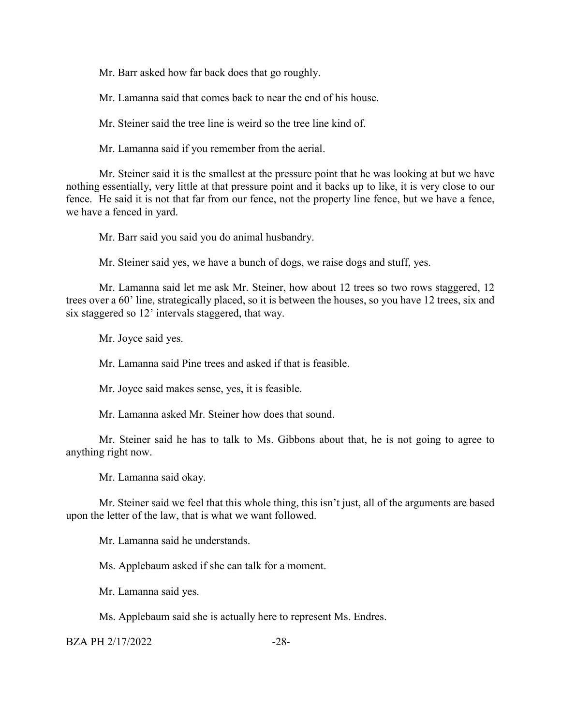Mr. Barr asked how far back does that go roughly.

Mr. Lamanna said that comes back to near the end of his house.

Mr. Steiner said the tree line is weird so the tree line kind of.

Mr. Lamanna said if you remember from the aerial.

Mr. Steiner said it is the smallest at the pressure point that he was looking at but we have nothing essentially, very little at that pressure point and it backs up to like, it is very close to our fence. He said it is not that far from our fence, not the property line fence, but we have a fence, we have a fenced in yard.

Mr. Barr said you said you do animal husbandry.

Mr. Steiner said yes, we have a bunch of dogs, we raise dogs and stuff, yes.

Mr. Lamanna said let me ask Mr. Steiner, how about 12 trees so two rows staggered, 12 trees over a 60' line, strategically placed, so it is between the houses, so you have 12 trees, six and six staggered so 12' intervals staggered, that way.

Mr. Joyce said yes.

Mr. Lamanna said Pine trees and asked if that is feasible.

Mr. Joyce said makes sense, yes, it is feasible.

Mr. Lamanna asked Mr. Steiner how does that sound.

Mr. Steiner said he has to talk to Ms. Gibbons about that, he is not going to agree to anything right now.

Mr. Lamanna said okay.

Mr. Steiner said we feel that this whole thing, this isn't just, all of the arguments are based upon the letter of the law, that is what we want followed.

Mr. Lamanna said he understands.

Ms. Applebaum asked if she can talk for a moment.

Mr. Lamanna said yes.

Ms. Applebaum said she is actually here to represent Ms. Endres.

BZA PH 2/17/2022 -28-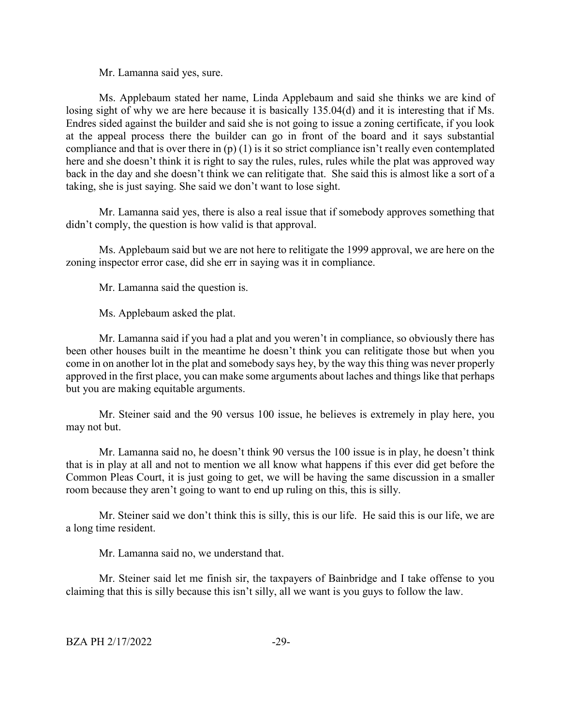Mr. Lamanna said yes, sure.

Ms. Applebaum stated her name, Linda Applebaum and said she thinks we are kind of losing sight of why we are here because it is basically 135.04(d) and it is interesting that if Ms. Endres sided against the builder and said she is not going to issue a zoning certificate, if you look at the appeal process there the builder can go in front of the board and it says substantial compliance and that is over there in  $(p)$  (1) is it so strict compliance isn't really even contemplated here and she doesn't think it is right to say the rules, rules, rules while the plat was approved way back in the day and she doesn't think we can relitigate that. She said this is almost like a sort of a taking, she is just saying. She said we don't want to lose sight.

Mr. Lamanna said yes, there is also a real issue that if somebody approves something that didn't comply, the question is how valid is that approval.

Ms. Applebaum said but we are not here to relitigate the 1999 approval, we are here on the zoning inspector error case, did she err in saying was it in compliance.

Mr. Lamanna said the question is.

Ms. Applebaum asked the plat.

Mr. Lamanna said if you had a plat and you weren't in compliance, so obviously there has been other houses built in the meantime he doesn't think you can relitigate those but when you come in on another lot in the plat and somebody says hey, by the way this thing was never properly approved in the first place, you can make some arguments about laches and things like that perhaps but you are making equitable arguments.

Mr. Steiner said and the 90 versus 100 issue, he believes is extremely in play here, you may not but.

Mr. Lamanna said no, he doesn't think 90 versus the 100 issue is in play, he doesn't think that is in play at all and not to mention we all know what happens if this ever did get before the Common Pleas Court, it is just going to get, we will be having the same discussion in a smaller room because they aren't going to want to end up ruling on this, this is silly.

Mr. Steiner said we don't think this is silly, this is our life. He said this is our life, we are a long time resident.

Mr. Lamanna said no, we understand that.

Mr. Steiner said let me finish sir, the taxpayers of Bainbridge and I take offense to you claiming that this is silly because this isn't silly, all we want is you guys to follow the law.

BZA PH 2/17/2022 -29-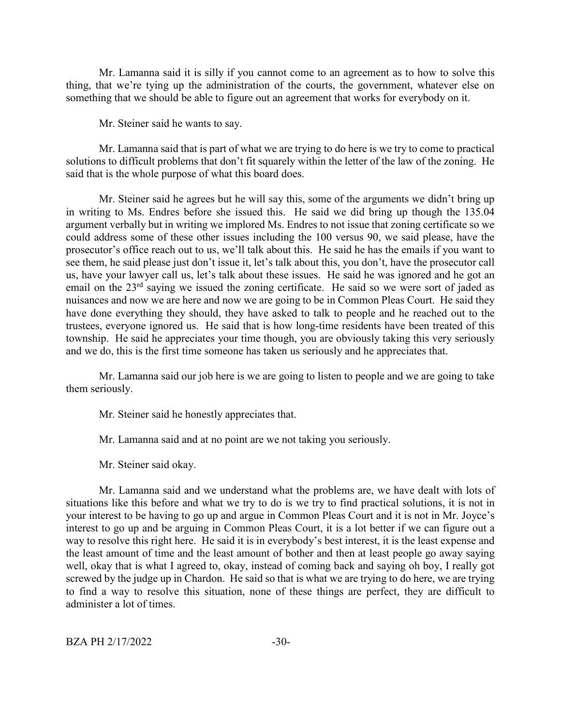Mr. Lamanna said it is silly if you cannot come to an agreement as to how to solve this thing, that we're tying up the administration of the courts, the government, whatever else on something that we should be able to figure out an agreement that works for everybody on it.

Mr. Steiner said he wants to say.

Mr. Lamanna said that is part of what we are trying to do here is we try to come to practical solutions to difficult problems that don't fit squarely within the letter of the law of the zoning. He said that is the whole purpose of what this board does.

Mr. Steiner said he agrees but he will say this, some of the arguments we didn't bring up in writing to Ms. Endres before she issued this. He said we did bring up though the 135.04 argument verbally but in writing we implored Ms. Endres to not issue that zoning certificate so we could address some of these other issues including the 100 versus 90, we said please, have the prosecutor's office reach out to us, we'll talk about this. He said he has the emails if you want to see them, he said please just don't issue it, let's talk about this, you don't, have the prosecutor call us, have your lawyer call us, let's talk about these issues. He said he was ignored and he got an email on the 23<sup>rd</sup> saying we issued the zoning certificate. He said so we were sort of jaded as nuisances and now we are here and now we are going to be in Common Pleas Court. He said they have done everything they should, they have asked to talk to people and he reached out to the trustees, everyone ignored us. He said that is how long-time residents have been treated of this township. He said he appreciates your time though, you are obviously taking this very seriously and we do, this is the first time someone has taken us seriously and he appreciates that.

Mr. Lamanna said our job here is we are going to listen to people and we are going to take them seriously.

Mr. Steiner said he honestly appreciates that.

Mr. Lamanna said and at no point are we not taking you seriously.

Mr. Steiner said okay.

Mr. Lamanna said and we understand what the problems are, we have dealt with lots of situations like this before and what we try to do is we try to find practical solutions, it is not in your interest to be having to go up and argue in Common Pleas Court and it is not in Mr. Joyce's interest to go up and be arguing in Common Pleas Court, it is a lot better if we can figure out a way to resolve this right here. He said it is in everybody's best interest, it is the least expense and the least amount of time and the least amount of bother and then at least people go away saying well, okay that is what I agreed to, okay, instead of coming back and saying oh boy, I really got screwed by the judge up in Chardon. He said so that is what we are trying to do here, we are trying to find a way to resolve this situation, none of these things are perfect, they are difficult to administer a lot of times.

BZA PH 2/17/2022 -30-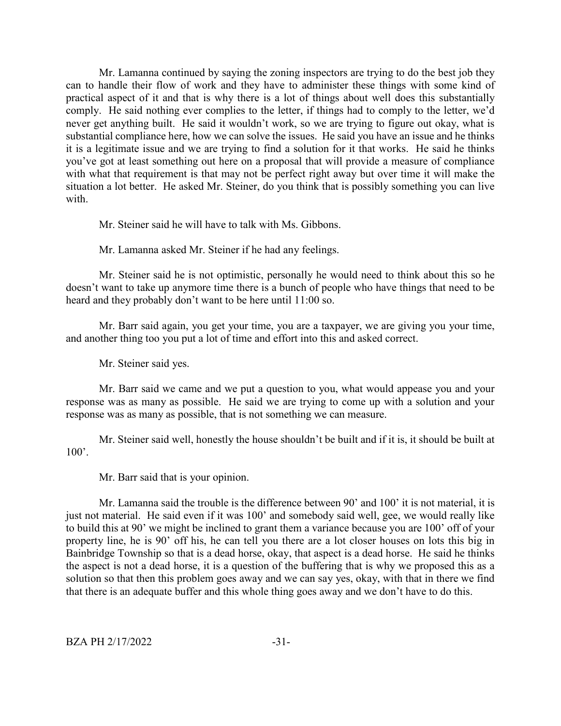Mr. Lamanna continued by saying the zoning inspectors are trying to do the best job they can to handle their flow of work and they have to administer these things with some kind of practical aspect of it and that is why there is a lot of things about well does this substantially comply. He said nothing ever complies to the letter, if things had to comply to the letter, we'd never get anything built. He said it wouldn't work, so we are trying to figure out okay, what is substantial compliance here, how we can solve the issues. He said you have an issue and he thinks it is a legitimate issue and we are trying to find a solution for it that works. He said he thinks you've got at least something out here on a proposal that will provide a measure of compliance with what that requirement is that may not be perfect right away but over time it will make the situation a lot better. He asked Mr. Steiner, do you think that is possibly something you can live with.

Mr. Steiner said he will have to talk with Ms. Gibbons.

Mr. Lamanna asked Mr. Steiner if he had any feelings.

Mr. Steiner said he is not optimistic, personally he would need to think about this so he doesn't want to take up anymore time there is a bunch of people who have things that need to be heard and they probably don't want to be here until 11:00 so.

Mr. Barr said again, you get your time, you are a taxpayer, we are giving you your time, and another thing too you put a lot of time and effort into this and asked correct.

Mr. Steiner said yes.

Mr. Barr said we came and we put a question to you, what would appease you and your response was as many as possible. He said we are trying to come up with a solution and your response was as many as possible, that is not something we can measure.

Mr. Steiner said well, honestly the house shouldn't be built and if it is, it should be built at  $100'.$ 

Mr. Barr said that is your opinion.

Mr. Lamanna said the trouble is the difference between 90' and 100' it is not material, it is just not material. He said even if it was 100' and somebody said well, gee, we would really like to build this at 90' we might be inclined to grant them a variance because you are 100' off of your property line, he is 90' off his, he can tell you there are a lot closer houses on lots this big in Bainbridge Township so that is a dead horse, okay, that aspect is a dead horse. He said he thinks the aspect is not a dead horse, it is a question of the buffering that is why we proposed this as a solution so that then this problem goes away and we can say yes, okay, with that in there we find that there is an adequate buffer and this whole thing goes away and we don't have to do this.

 $BZA PH 2/17/2022$   $-31-$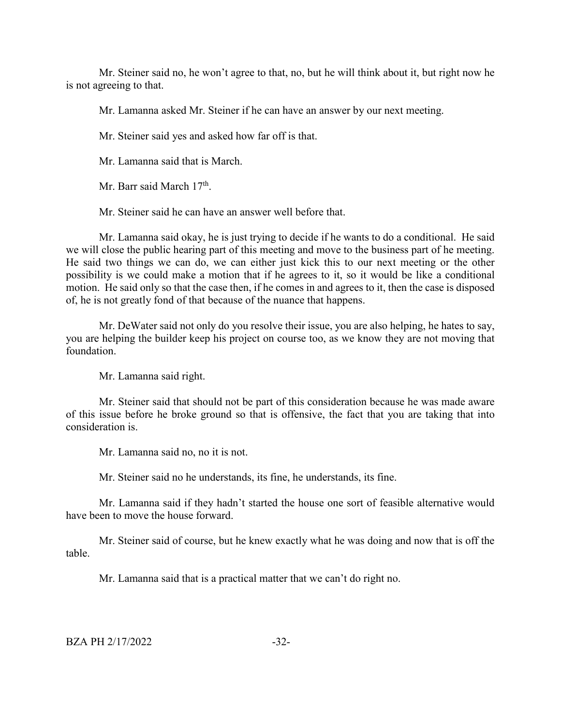Mr. Steiner said no, he won't agree to that, no, but he will think about it, but right now he is not agreeing to that.

Mr. Lamanna asked Mr. Steiner if he can have an answer by our next meeting.

Mr. Steiner said yes and asked how far off is that.

Mr. Lamanna said that is March.

Mr. Barr said March  $17<sup>th</sup>$ .

Mr. Steiner said he can have an answer well before that.

Mr. Lamanna said okay, he is just trying to decide if he wants to do a conditional. He said we will close the public hearing part of this meeting and move to the business part of he meeting. He said two things we can do, we can either just kick this to our next meeting or the other possibility is we could make a motion that if he agrees to it, so it would be like a conditional motion. He said only so that the case then, if he comes in and agrees to it, then the case is disposed of, he is not greatly fond of that because of the nuance that happens.

Mr. DeWater said not only do you resolve their issue, you are also helping, he hates to say, you are helping the builder keep his project on course too, as we know they are not moving that foundation.

Mr. Lamanna said right.

Mr. Steiner said that should not be part of this consideration because he was made aware of this issue before he broke ground so that is offensive, the fact that you are taking that into consideration is.

Mr. Lamanna said no, no it is not.

Mr. Steiner said no he understands, its fine, he understands, its fine.

Mr. Lamanna said if they hadn't started the house one sort of feasible alternative would have been to move the house forward.

Mr. Steiner said of course, but he knew exactly what he was doing and now that is off the table.

Mr. Lamanna said that is a practical matter that we can't do right no.

BZA PH 2/17/2022 -32-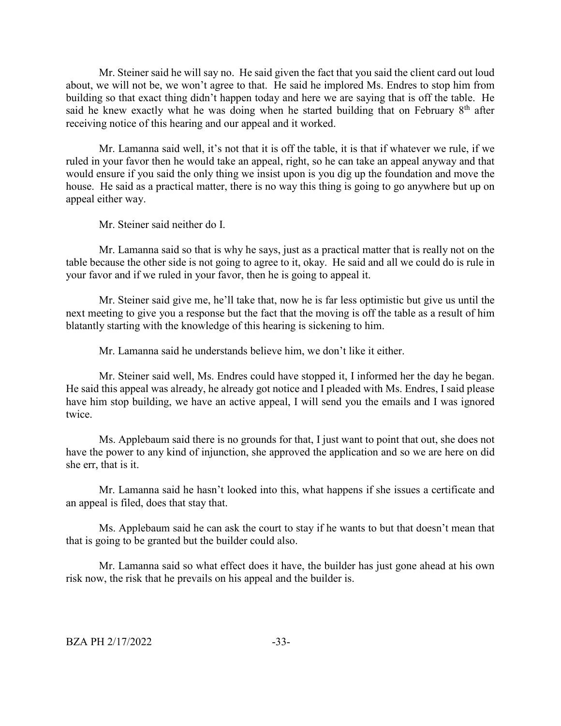Mr. Steiner said he will say no. He said given the fact that you said the client card out loud about, we will not be, we won't agree to that. He said he implored Ms. Endres to stop him from building so that exact thing didn't happen today and here we are saying that is off the table. He said he knew exactly what he was doing when he started building that on February  $8<sup>th</sup>$  after receiving notice of this hearing and our appeal and it worked.

Mr. Lamanna said well, it's not that it is off the table, it is that if whatever we rule, if we ruled in your favor then he would take an appeal, right, so he can take an appeal anyway and that would ensure if you said the only thing we insist upon is you dig up the foundation and move the house. He said as a practical matter, there is no way this thing is going to go anywhere but up on appeal either way.

Mr. Steiner said neither do I.

Mr. Lamanna said so that is why he says, just as a practical matter that is really not on the table because the other side is not going to agree to it, okay. He said and all we could do is rule in your favor and if we ruled in your favor, then he is going to appeal it.

Mr. Steiner said give me, he'll take that, now he is far less optimistic but give us until the next meeting to give you a response but the fact that the moving is off the table as a result of him blatantly starting with the knowledge of this hearing is sickening to him.

Mr. Lamanna said he understands believe him, we don't like it either.

Mr. Steiner said well, Ms. Endres could have stopped it, I informed her the day he began. He said this appeal was already, he already got notice and I pleaded with Ms. Endres, I said please have him stop building, we have an active appeal, I will send you the emails and I was ignored twice.

Ms. Applebaum said there is no grounds for that, I just want to point that out, she does not have the power to any kind of injunction, she approved the application and so we are here on did she err, that is it.

Mr. Lamanna said he hasn't looked into this, what happens if she issues a certificate and an appeal is filed, does that stay that.

Ms. Applebaum said he can ask the court to stay if he wants to but that doesn't mean that that is going to be granted but the builder could also.

Mr. Lamanna said so what effect does it have, the builder has just gone ahead at his own risk now, the risk that he prevails on his appeal and the builder is.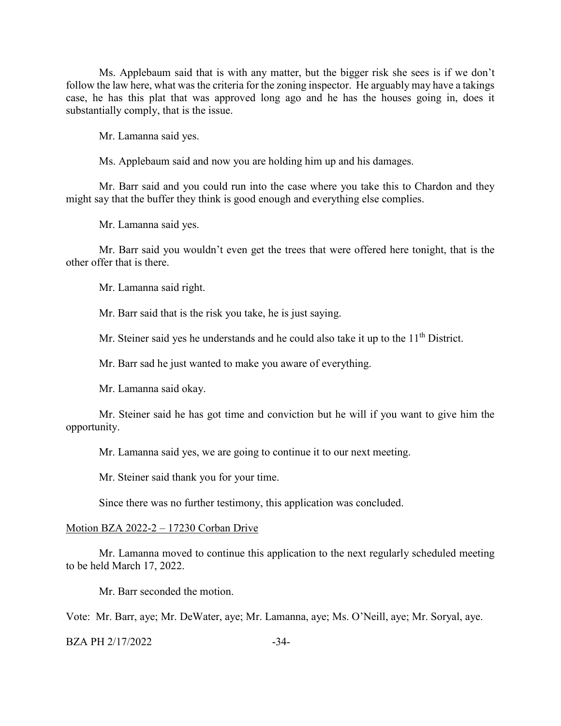Ms. Applebaum said that is with any matter, but the bigger risk she sees is if we don't follow the law here, what was the criteria for the zoning inspector. He arguably may have a takings case, he has this plat that was approved long ago and he has the houses going in, does it substantially comply, that is the issue.

Mr. Lamanna said yes.

Ms. Applebaum said and now you are holding him up and his damages.

Mr. Barr said and you could run into the case where you take this to Chardon and they might say that the buffer they think is good enough and everything else complies.

Mr. Lamanna said yes.

Mr. Barr said you wouldn't even get the trees that were offered here tonight, that is the other offer that is there.

Mr. Lamanna said right.

Mr. Barr said that is the risk you take, he is just saying.

Mr. Steiner said yes he understands and he could also take it up to the 11<sup>th</sup> District.

Mr. Barr sad he just wanted to make you aware of everything.

Mr. Lamanna said okay.

Mr. Steiner said he has got time and conviction but he will if you want to give him the opportunity.

Mr. Lamanna said yes, we are going to continue it to our next meeting.

Mr. Steiner said thank you for your time.

Since there was no further testimony, this application was concluded.

#### Motion BZA 2022-2 – 17230 Corban Drive

Mr. Lamanna moved to continue this application to the next regularly scheduled meeting to be held March 17, 2022.

Mr. Barr seconded the motion.

Vote: Mr. Barr, aye; Mr. DeWater, aye; Mr. Lamanna, aye; Ms. O'Neill, aye; Mr. Soryal, aye.

BZA PH 2/17/2022 -34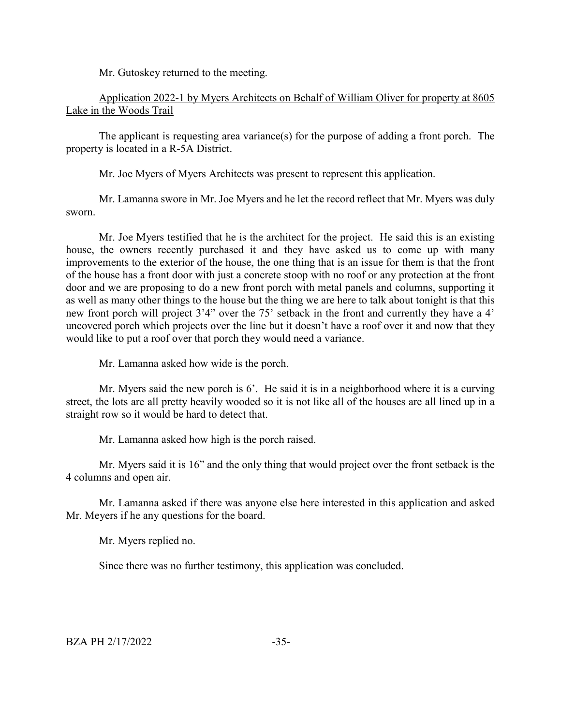Mr. Gutoskey returned to the meeting.

Application 2022-1 by Myers Architects on Behalf of William Oliver for property at 8605 Lake in the Woods Trail

The applicant is requesting area variance(s) for the purpose of adding a front porch. The property is located in a R-5A District.

Mr. Joe Myers of Myers Architects was present to represent this application.

Mr. Lamanna swore in Mr. Joe Myers and he let the record reflect that Mr. Myers was duly sworn.

Mr. Joe Myers testified that he is the architect for the project. He said this is an existing house, the owners recently purchased it and they have asked us to come up with many improvements to the exterior of the house, the one thing that is an issue for them is that the front of the house has a front door with just a concrete stoop with no roof or any protection at the front door and we are proposing to do a new front porch with metal panels and columns, supporting it as well as many other things to the house but the thing we are here to talk about tonight is that this new front porch will project 3'4" over the 75' setback in the front and currently they have a 4' uncovered porch which projects over the line but it doesn't have a roof over it and now that they would like to put a roof over that porch they would need a variance.

Mr. Lamanna asked how wide is the porch.

Mr. Myers said the new porch is 6'. He said it is in a neighborhood where it is a curving street, the lots are all pretty heavily wooded so it is not like all of the houses are all lined up in a straight row so it would be hard to detect that.

Mr. Lamanna asked how high is the porch raised.

Mr. Myers said it is 16" and the only thing that would project over the front setback is the 4 columns and open air.

Mr. Lamanna asked if there was anyone else here interested in this application and asked Mr. Meyers if he any questions for the board.

Mr. Myers replied no.

Since there was no further testimony, this application was concluded.

 $BZA PH 2/17/2022$   $-35-$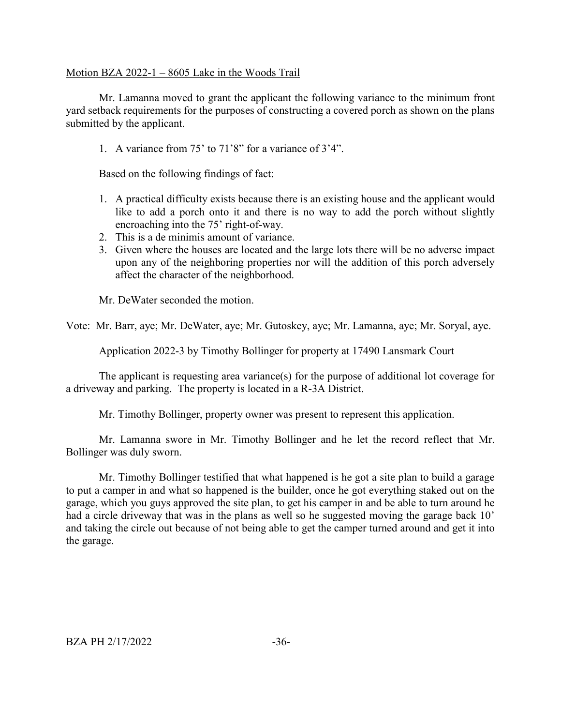#### Motion BZA 2022-1 – 8605 Lake in the Woods Trail

Mr. Lamanna moved to grant the applicant the following variance to the minimum front yard setback requirements for the purposes of constructing a covered porch as shown on the plans submitted by the applicant.

1. A variance from 75' to 71'8" for a variance of 3'4".

Based on the following findings of fact:

- 1. A practical difficulty exists because there is an existing house and the applicant would like to add a porch onto it and there is no way to add the porch without slightly encroaching into the 75' right-of-way.
- 2. This is a de minimis amount of variance.
- 3. Given where the houses are located and the large lots there will be no adverse impact upon any of the neighboring properties nor will the addition of this porch adversely affect the character of the neighborhood.

Mr. DeWater seconded the motion.

Vote: Mr. Barr, aye; Mr. DeWater, aye; Mr. Gutoskey, aye; Mr. Lamanna, aye; Mr. Soryal, aye.

#### Application 2022-3 by Timothy Bollinger for property at 17490 Lansmark Court

The applicant is requesting area variance(s) for the purpose of additional lot coverage for a driveway and parking. The property is located in a R-3A District.

Mr. Timothy Bollinger, property owner was present to represent this application.

Mr. Lamanna swore in Mr. Timothy Bollinger and he let the record reflect that Mr. Bollinger was duly sworn.

Mr. Timothy Bollinger testified that what happened is he got a site plan to build a garage to put a camper in and what so happened is the builder, once he got everything staked out on the garage, which you guys approved the site plan, to get his camper in and be able to turn around he had a circle driveway that was in the plans as well so he suggested moving the garage back 10' and taking the circle out because of not being able to get the camper turned around and get it into the garage.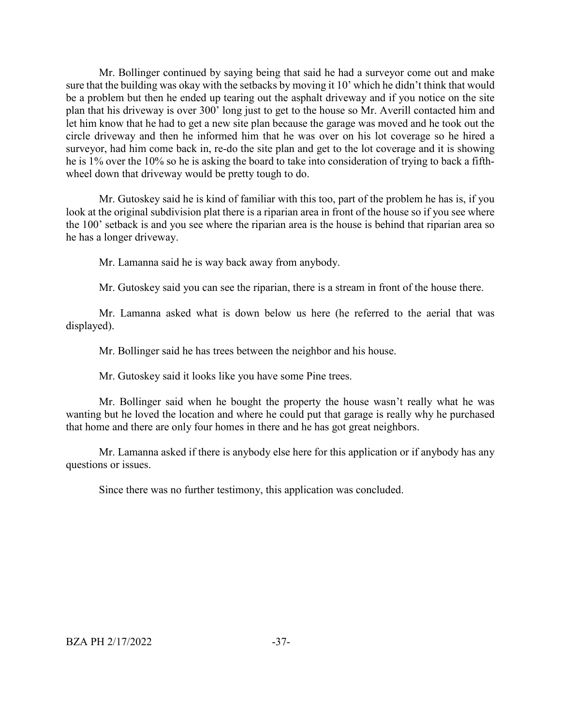Mr. Bollinger continued by saying being that said he had a surveyor come out and make sure that the building was okay with the setbacks by moving it 10' which he didn't think that would be a problem but then he ended up tearing out the asphalt driveway and if you notice on the site plan that his driveway is over 300' long just to get to the house so Mr. Averill contacted him and let him know that he had to get a new site plan because the garage was moved and he took out the circle driveway and then he informed him that he was over on his lot coverage so he hired a surveyor, had him come back in, re-do the site plan and get to the lot coverage and it is showing he is 1% over the 10% so he is asking the board to take into consideration of trying to back a fifthwheel down that driveway would be pretty tough to do.

Mr. Gutoskey said he is kind of familiar with this too, part of the problem he has is, if you look at the original subdivision plat there is a riparian area in front of the house so if you see where the 100' setback is and you see where the riparian area is the house is behind that riparian area so he has a longer driveway.

Mr. Lamanna said he is way back away from anybody.

Mr. Gutoskey said you can see the riparian, there is a stream in front of the house there.

Mr. Lamanna asked what is down below us here (he referred to the aerial that was displayed).

Mr. Bollinger said he has trees between the neighbor and his house.

Mr. Gutoskey said it looks like you have some Pine trees.

Mr. Bollinger said when he bought the property the house wasn't really what he was wanting but he loved the location and where he could put that garage is really why he purchased that home and there are only four homes in there and he has got great neighbors.

Mr. Lamanna asked if there is anybody else here for this application or if anybody has any questions or issues.

Since there was no further testimony, this application was concluded.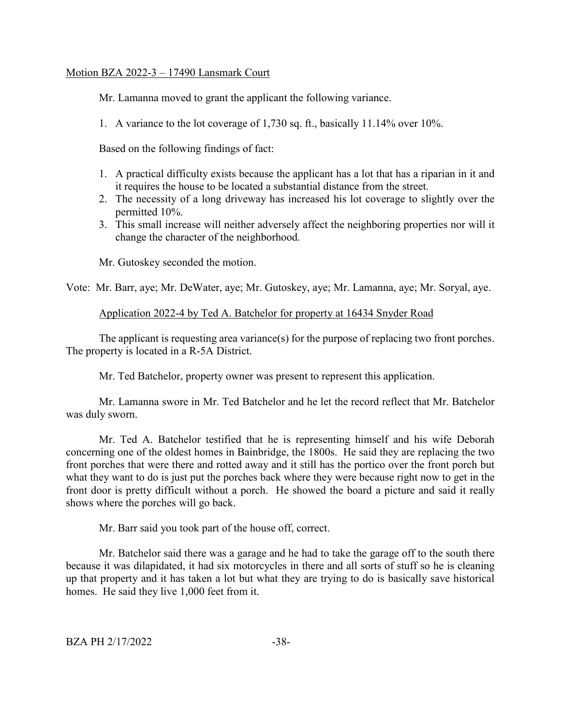## Motion BZA 2022-3 – 17490 Lansmark Court

Mr. Lamanna moved to grant the applicant the following variance.

1. A variance to the lot coverage of 1,730 sq. ft., basically 11.14% over 10%.

Based on the following findings of fact:

- 1. A practical difficulty exists because the applicant has a lot that has a riparian in it and it requires the house to be located a substantial distance from the street.
- 2. The necessity of a long driveway has increased his lot coverage to slightly over the permitted 10%.
- 3. This small increase will neither adversely affect the neighboring properties nor will it change the character of the neighborhood.

Mr. Gutoskey seconded the motion.

Vote: Mr. Barr, aye; Mr. DeWater, aye; Mr. Gutoskey, aye; Mr. Lamanna, aye; Mr. Soryal, aye.

## Application 2022-4 by Ted A. Batchelor for property at 16434 Snyder Road

The applicant is requesting area variance(s) for the purpose of replacing two front porches. The property is located in a R-5A District.

Mr. Ted Batchelor, property owner was present to represent this application.

Mr. Lamanna swore in Mr. Ted Batchelor and he let the record reflect that Mr. Batchelor was duly sworn.

Mr. Ted A. Batchelor testified that he is representing himself and his wife Deborah concerning one of the oldest homes in Bainbridge, the 1800s. He said they are replacing the two front porches that were there and rotted away and it still has the portico over the front porch but what they want to do is just put the porches back where they were because right now to get in the front door is pretty difficult without a porch. He showed the board a picture and said it really shows where the porches will go back.

Mr. Barr said you took part of the house off, correct.

Mr. Batchelor said there was a garage and he had to take the garage off to the south there because it was dilapidated, it had six motorcycles in there and all sorts of stuff so he is cleaning up that property and it has taken a lot but what they are trying to do is basically save historical homes. He said they live 1,000 feet from it.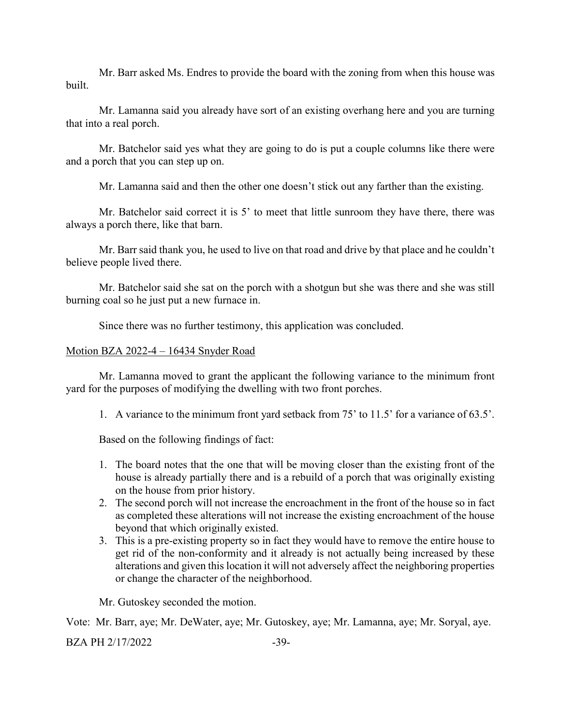Mr. Barr asked Ms. Endres to provide the board with the zoning from when this house was built.

Mr. Lamanna said you already have sort of an existing overhang here and you are turning that into a real porch.

Mr. Batchelor said yes what they are going to do is put a couple columns like there were and a porch that you can step up on.

Mr. Lamanna said and then the other one doesn't stick out any farther than the existing.

Mr. Batchelor said correct it is 5' to meet that little sunroom they have there, there was always a porch there, like that barn.

Mr. Barr said thank you, he used to live on that road and drive by that place and he couldn't believe people lived there.

Mr. Batchelor said she sat on the porch with a shotgun but she was there and she was still burning coal so he just put a new furnace in.

Since there was no further testimony, this application was concluded.

## Motion BZA 2022-4 – 16434 Snyder Road

Mr. Lamanna moved to grant the applicant the following variance to the minimum front yard for the purposes of modifying the dwelling with two front porches.

1. A variance to the minimum front yard setback from 75' to 11.5' for a variance of 63.5'.

Based on the following findings of fact:

- 1. The board notes that the one that will be moving closer than the existing front of the house is already partially there and is a rebuild of a porch that was originally existing on the house from prior history.
- 2. The second porch will not increase the encroachment in the front of the house so in fact as completed these alterations will not increase the existing encroachment of the house beyond that which originally existed.
- 3. This is a pre-existing property so in fact they would have to remove the entire house to get rid of the non-conformity and it already is not actually being increased by these alterations and given this location it will not adversely affect the neighboring properties or change the character of the neighborhood.

Mr. Gutoskey seconded the motion.

Vote: Mr. Barr, aye; Mr. DeWater, aye; Mr. Gutoskey, aye; Mr. Lamanna, aye; Mr. Soryal, aye.

BZA PH 2/17/2022 -39-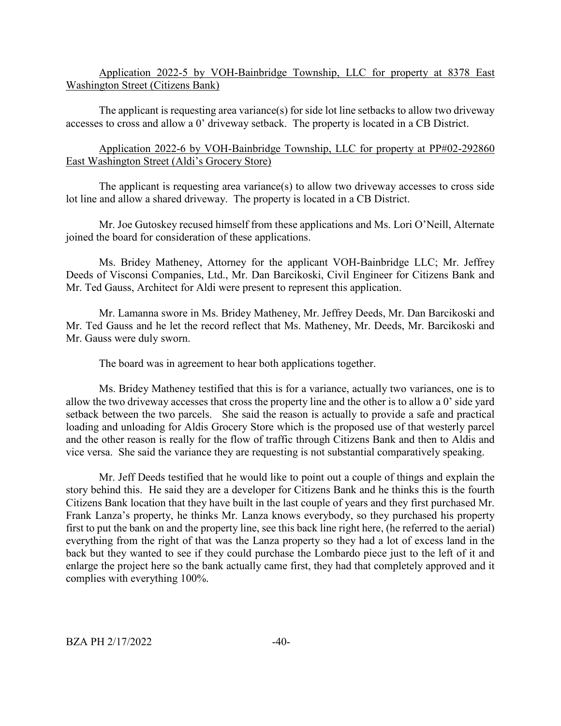Application 2022-5 by VOH-Bainbridge Township, LLC for property at 8378 East Washington Street (Citizens Bank)

The applicant is requesting area variance(s) for side lot line setbacks to allow two driveway accesses to cross and allow a 0' driveway setback. The property is located in a CB District.

Application 2022-6 by VOH-Bainbridge Township, LLC for property at PP#02-292860 East Washington Street (Aldi's Grocery Store)

The applicant is requesting area variance(s) to allow two driveway accesses to cross side lot line and allow a shared driveway. The property is located in a CB District.

Mr. Joe Gutoskey recused himself from these applications and Ms. Lori O'Neill, Alternate joined the board for consideration of these applications.

Ms. Bridey Matheney, Attorney for the applicant VOH-Bainbridge LLC; Mr. Jeffrey Deeds of Visconsi Companies, Ltd., Mr. Dan Barcikoski, Civil Engineer for Citizens Bank and Mr. Ted Gauss, Architect for Aldi were present to represent this application.

Mr. Lamanna swore in Ms. Bridey Matheney, Mr. Jeffrey Deeds, Mr. Dan Barcikoski and Mr. Ted Gauss and he let the record reflect that Ms. Matheney, Mr. Deeds, Mr. Barcikoski and Mr. Gauss were duly sworn.

The board was in agreement to hear both applications together.

Ms. Bridey Matheney testified that this is for a variance, actually two variances, one is to allow the two driveway accesses that cross the property line and the other is to allow a 0' side yard setback between the two parcels. She said the reason is actually to provide a safe and practical loading and unloading for Aldis Grocery Store which is the proposed use of that westerly parcel and the other reason is really for the flow of traffic through Citizens Bank and then to Aldis and vice versa. She said the variance they are requesting is not substantial comparatively speaking.

Mr. Jeff Deeds testified that he would like to point out a couple of things and explain the story behind this. He said they are a developer for Citizens Bank and he thinks this is the fourth Citizens Bank location that they have built in the last couple of years and they first purchased Mr. Frank Lanza's property, he thinks Mr. Lanza knows everybody, so they purchased his property first to put the bank on and the property line, see this back line right here, (he referred to the aerial) everything from the right of that was the Lanza property so they had a lot of excess land in the back but they wanted to see if they could purchase the Lombardo piece just to the left of it and enlarge the project here so the bank actually came first, they had that completely approved and it complies with everything 100%.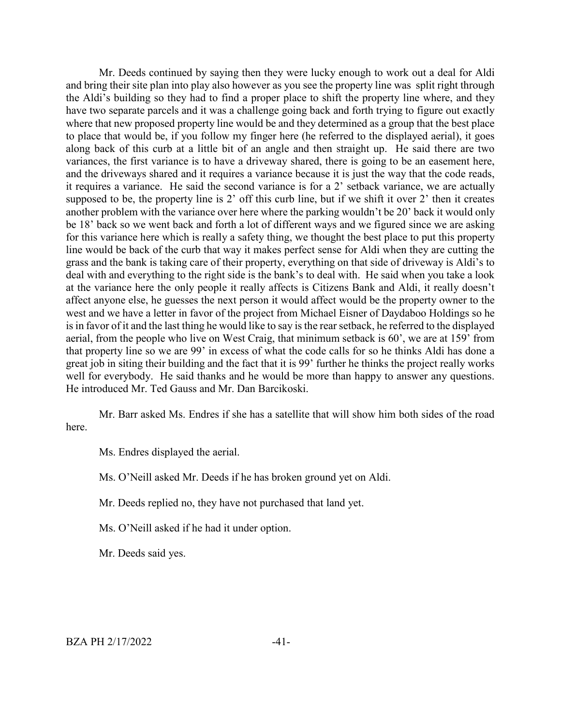Mr. Deeds continued by saying then they were lucky enough to work out a deal for Aldi and bring their site plan into play also however as you see the property line was split right through the Aldi's building so they had to find a proper place to shift the property line where, and they have two separate parcels and it was a challenge going back and forth trying to figure out exactly where that new proposed property line would be and they determined as a group that the best place to place that would be, if you follow my finger here (he referred to the displayed aerial), it goes along back of this curb at a little bit of an angle and then straight up. He said there are two variances, the first variance is to have a driveway shared, there is going to be an easement here, and the driveways shared and it requires a variance because it is just the way that the code reads, it requires a variance. He said the second variance is for a 2' setback variance, we are actually supposed to be, the property line is 2' off this curb line, but if we shift it over 2' then it creates another problem with the variance over here where the parking wouldn't be 20' back it would only be 18' back so we went back and forth a lot of different ways and we figured since we are asking for this variance here which is really a safety thing, we thought the best place to put this property line would be back of the curb that way it makes perfect sense for Aldi when they are cutting the grass and the bank is taking care of their property, everything on that side of driveway is Aldi's to deal with and everything to the right side is the bank's to deal with. He said when you take a look at the variance here the only people it really affects is Citizens Bank and Aldi, it really doesn't affect anyone else, he guesses the next person it would affect would be the property owner to the west and we have a letter in favor of the project from Michael Eisner of Daydaboo Holdings so he is in favor of it and the last thing he would like to say is the rear setback, he referred to the displayed aerial, from the people who live on West Craig, that minimum setback is 60', we are at 159' from that property line so we are 99' in excess of what the code calls for so he thinks Aldi has done a great job in siting their building and the fact that it is 99' further he thinks the project really works well for everybody. He said thanks and he would be more than happy to answer any questions. He introduced Mr. Ted Gauss and Mr. Dan Barcikoski.

Mr. Barr asked Ms. Endres if she has a satellite that will show him both sides of the road here.

Ms. Endres displayed the aerial.

Ms. O'Neill asked Mr. Deeds if he has broken ground yet on Aldi.

Mr. Deeds replied no, they have not purchased that land yet.

Ms. O'Neill asked if he had it under option.

Mr. Deeds said yes.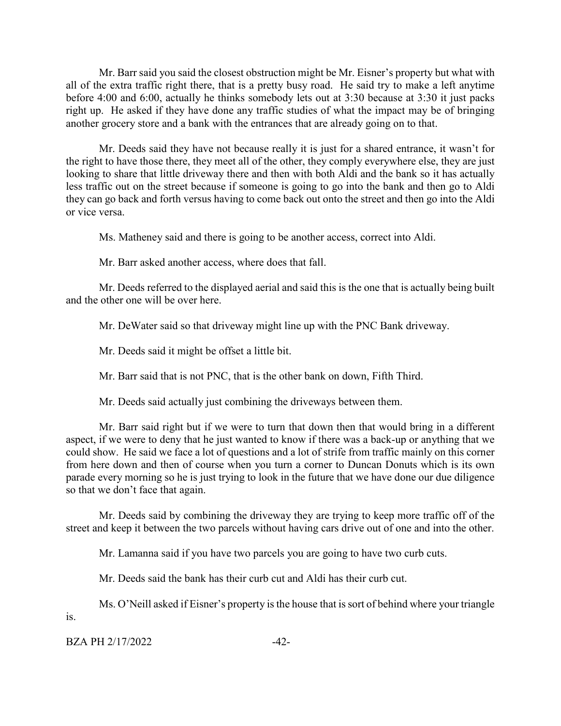Mr. Barr said you said the closest obstruction might be Mr. Eisner's property but what with all of the extra traffic right there, that is a pretty busy road. He said try to make a left anytime before 4:00 and 6:00, actually he thinks somebody lets out at 3:30 because at 3:30 it just packs right up. He asked if they have done any traffic studies of what the impact may be of bringing another grocery store and a bank with the entrances that are already going on to that.

Mr. Deeds said they have not because really it is just for a shared entrance, it wasn't for the right to have those there, they meet all of the other, they comply everywhere else, they are just looking to share that little driveway there and then with both Aldi and the bank so it has actually less traffic out on the street because if someone is going to go into the bank and then go to Aldi they can go back and forth versus having to come back out onto the street and then go into the Aldi or vice versa.

Ms. Matheney said and there is going to be another access, correct into Aldi.

Mr. Barr asked another access, where does that fall.

Mr. Deeds referred to the displayed aerial and said this is the one that is actually being built and the other one will be over here.

Mr. DeWater said so that driveway might line up with the PNC Bank driveway.

Mr. Deeds said it might be offset a little bit.

Mr. Barr said that is not PNC, that is the other bank on down, Fifth Third.

Mr. Deeds said actually just combining the driveways between them.

Mr. Barr said right but if we were to turn that down then that would bring in a different aspect, if we were to deny that he just wanted to know if there was a back-up or anything that we could show. He said we face a lot of questions and a lot of strife from traffic mainly on this corner from here down and then of course when you turn a corner to Duncan Donuts which is its own parade every morning so he is just trying to look in the future that we have done our due diligence so that we don't face that again.

Mr. Deeds said by combining the driveway they are trying to keep more traffic off of the street and keep it between the two parcels without having cars drive out of one and into the other.

Mr. Lamanna said if you have two parcels you are going to have two curb cuts.

Mr. Deeds said the bank has their curb cut and Aldi has their curb cut.

Ms. O'Neill asked if Eisner's property is the house that is sort of behind where your triangle is.

 $BZA PH 2/17/2022$   $-42-$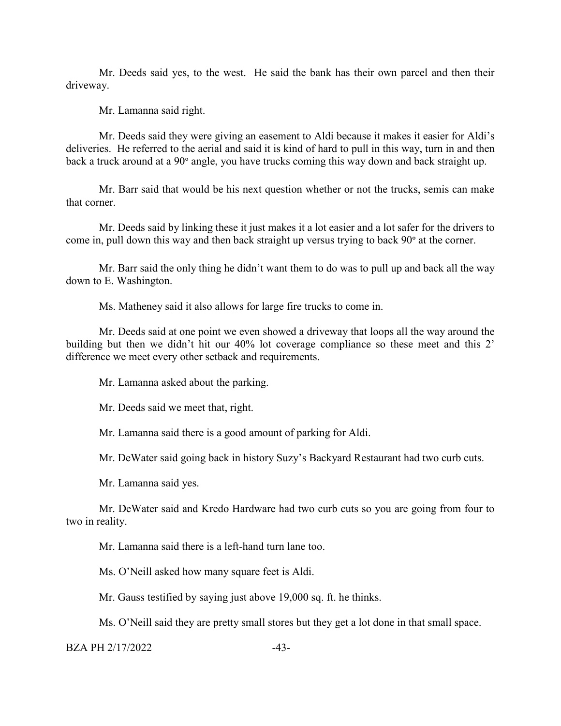Mr. Deeds said yes, to the west. He said the bank has their own parcel and then their driveway.

Mr. Lamanna said right.

Mr. Deeds said they were giving an easement to Aldi because it makes it easier for Aldi's deliveries. He referred to the aerial and said it is kind of hard to pull in this way, turn in and then back a truck around at a 90° angle, you have trucks coming this way down and back straight up.

Mr. Barr said that would be his next question whether or not the trucks, semis can make that corner.

Mr. Deeds said by linking these it just makes it a lot easier and a lot safer for the drivers to come in, pull down this way and then back straight up versus trying to back 90° at the corner.

Mr. Barr said the only thing he didn't want them to do was to pull up and back all the way down to E. Washington.

Ms. Matheney said it also allows for large fire trucks to come in.

Mr. Deeds said at one point we even showed a driveway that loops all the way around the building but then we didn't hit our 40% lot coverage compliance so these meet and this 2' difference we meet every other setback and requirements.

Mr. Lamanna asked about the parking.

Mr. Deeds said we meet that, right.

Mr. Lamanna said there is a good amount of parking for Aldi.

Mr. DeWater said going back in history Suzy's Backyard Restaurant had two curb cuts.

Mr. Lamanna said yes.

Mr. DeWater said and Kredo Hardware had two curb cuts so you are going from four to two in reality.

Mr. Lamanna said there is a left-hand turn lane too.

Ms. O'Neill asked how many square feet is Aldi.

Mr. Gauss testified by saying just above 19,000 sq. ft. he thinks.

Ms. O'Neill said they are pretty small stores but they get a lot done in that small space.

 $BZA PH 2/17/2022$   $-43-$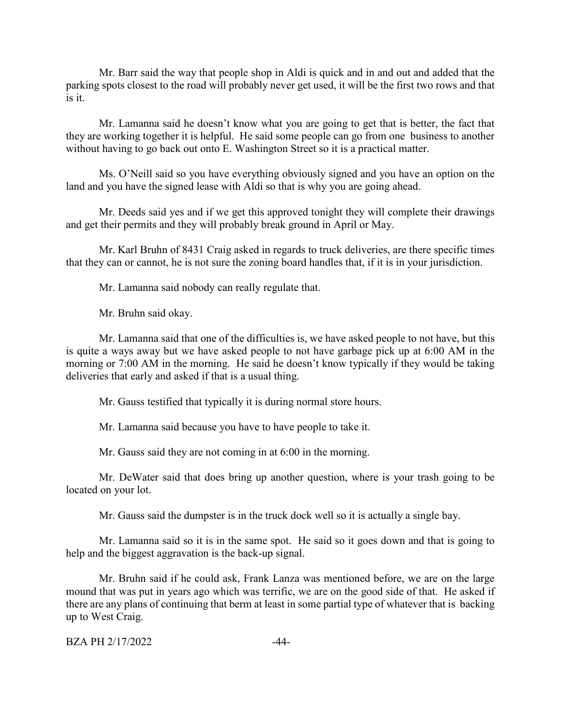Mr. Barr said the way that people shop in Aldi is quick and in and out and added that the parking spots closest to the road will probably never get used, it will be the first two rows and that is it.

Mr. Lamanna said he doesn't know what you are going to get that is better, the fact that they are working together it is helpful. He said some people can go from one business to another without having to go back out onto E. Washington Street so it is a practical matter.

Ms. O'Neill said so you have everything obviously signed and you have an option on the land and you have the signed lease with Aldi so that is why you are going ahead.

Mr. Deeds said yes and if we get this approved tonight they will complete their drawings and get their permits and they will probably break ground in April or May.

Mr. Karl Bruhn of 8431 Craig asked in regards to truck deliveries, are there specific times that they can or cannot, he is not sure the zoning board handles that, if it is in your jurisdiction.

Mr. Lamanna said nobody can really regulate that.

Mr. Bruhn said okay.

Mr. Lamanna said that one of the difficulties is, we have asked people to not have, but this is quite a ways away but we have asked people to not have garbage pick up at 6:00 AM in the morning or 7:00 AM in the morning. He said he doesn't know typically if they would be taking deliveries that early and asked if that is a usual thing.

Mr. Gauss testified that typically it is during normal store hours.

Mr. Lamanna said because you have to have people to take it.

Mr. Gauss said they are not coming in at 6:00 in the morning.

Mr. DeWater said that does bring up another question, where is your trash going to be located on your lot.

Mr. Gauss said the dumpster is in the truck dock well so it is actually a single bay.

Mr. Lamanna said so it is in the same spot. He said so it goes down and that is going to help and the biggest aggravation is the back-up signal.

Mr. Bruhn said if he could ask, Frank Lanza was mentioned before, we are on the large mound that was put in years ago which was terrific, we are on the good side of that. He asked if there are any plans of continuing that berm at least in some partial type of whatever that is backing up to West Craig.

BZA PH 2/17/2022 -44-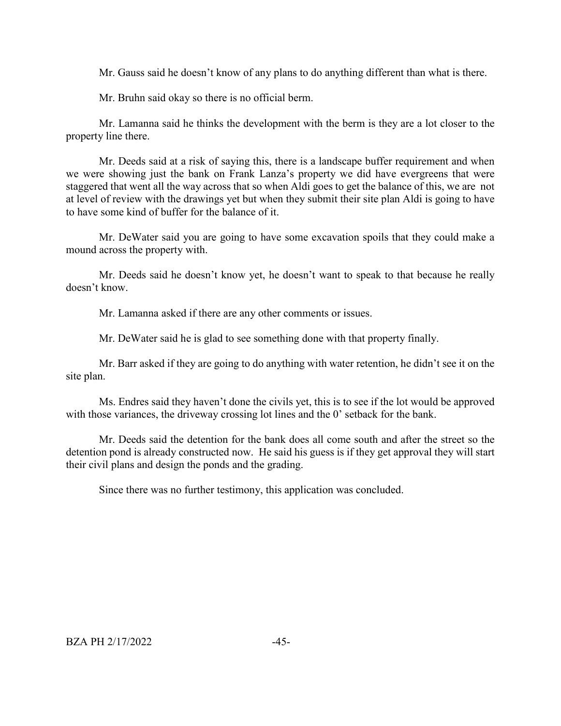Mr. Gauss said he doesn't know of any plans to do anything different than what is there.

Mr. Bruhn said okay so there is no official berm.

Mr. Lamanna said he thinks the development with the berm is they are a lot closer to the property line there.

Mr. Deeds said at a risk of saying this, there is a landscape buffer requirement and when we were showing just the bank on Frank Lanza's property we did have evergreens that were staggered that went all the way across that so when Aldi goes to get the balance of this, we are not at level of review with the drawings yet but when they submit their site plan Aldi is going to have to have some kind of buffer for the balance of it.

Mr. DeWater said you are going to have some excavation spoils that they could make a mound across the property with.

Mr. Deeds said he doesn't know yet, he doesn't want to speak to that because he really doesn't know.

Mr. Lamanna asked if there are any other comments or issues.

Mr. DeWater said he is glad to see something done with that property finally.

Mr. Barr asked if they are going to do anything with water retention, he didn't see it on the site plan.

Ms. Endres said they haven't done the civils yet, this is to see if the lot would be approved with those variances, the driveway crossing lot lines and the 0' setback for the bank.

Mr. Deeds said the detention for the bank does all come south and after the street so the detention pond is already constructed now. He said his guess is if they get approval they will start their civil plans and design the ponds and the grading.

Since there was no further testimony, this application was concluded.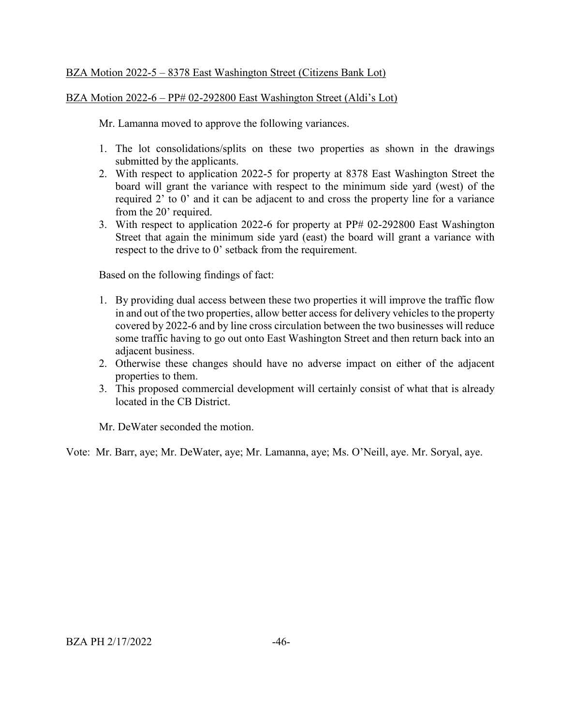# BZA Motion 2022-5 – 8378 East Washington Street (Citizens Bank Lot)

## BZA Motion 2022-6 – PP# 02-292800 East Washington Street (Aldi's Lot)

Mr. Lamanna moved to approve the following variances.

- 1. The lot consolidations/splits on these two properties as shown in the drawings submitted by the applicants.
- 2. With respect to application 2022-5 for property at 8378 East Washington Street the board will grant the variance with respect to the minimum side yard (west) of the required 2' to 0' and it can be adjacent to and cross the property line for a variance from the 20' required.
- 3. With respect to application 2022-6 for property at PP# 02-292800 East Washington Street that again the minimum side yard (east) the board will grant a variance with respect to the drive to 0' setback from the requirement.

Based on the following findings of fact:

- 1. By providing dual access between these two properties it will improve the traffic flow in and out of the two properties, allow better access for delivery vehicles to the property covered by 2022-6 and by line cross circulation between the two businesses will reduce some traffic having to go out onto East Washington Street and then return back into an adjacent business.
- 2. Otherwise these changes should have no adverse impact on either of the adjacent properties to them.
- 3. This proposed commercial development will certainly consist of what that is already located in the CB District.

Mr. DeWater seconded the motion.

Vote: Mr. Barr, aye; Mr. DeWater, aye; Mr. Lamanna, aye; Ms. O'Neill, aye. Mr. Soryal, aye.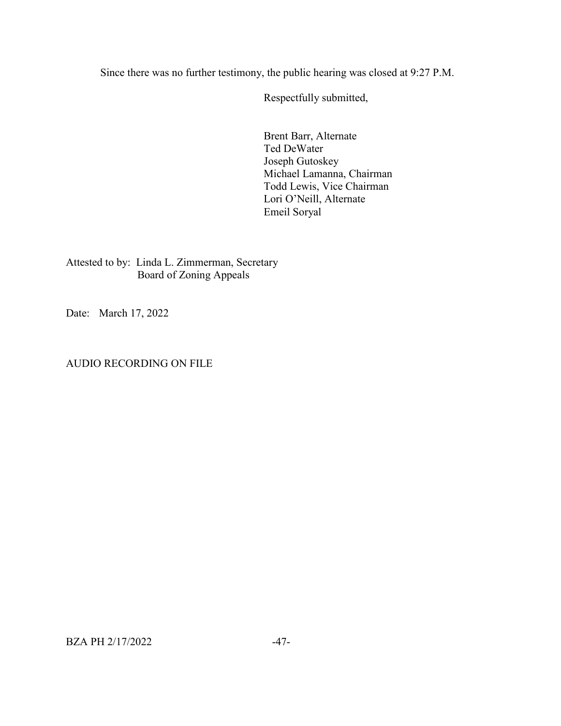Since there was no further testimony, the public hearing was closed at 9:27 P.M.

Respectfully submitted,

Brent Barr, Alternate Ted DeWater Joseph Gutoskey Michael Lamanna, Chairman Todd Lewis, Vice Chairman Lori O'Neill, Alternate Emeil Soryal

Attested to by: Linda L. Zimmerman, Secretary Board of Zoning Appeals

Date: March 17, 2022

## AUDIO RECORDING ON FILE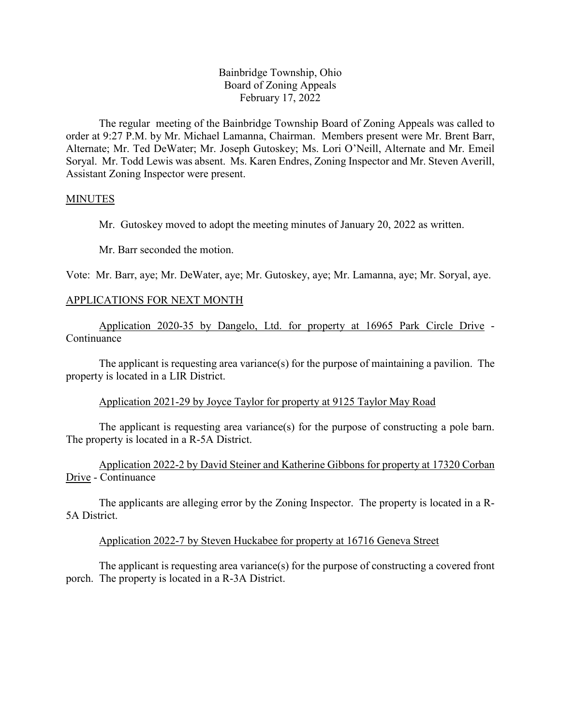## Bainbridge Township, Ohio Board of Zoning Appeals February 17, 2022

The regular meeting of the Bainbridge Township Board of Zoning Appeals was called to order at 9:27 P.M. by Mr. Michael Lamanna, Chairman. Members present were Mr. Brent Barr, Alternate; Mr. Ted DeWater; Mr. Joseph Gutoskey; Ms. Lori O'Neill, Alternate and Mr. Emeil Soryal. Mr. Todd Lewis was absent. Ms. Karen Endres, Zoning Inspector and Mr. Steven Averill, Assistant Zoning Inspector were present.

#### MINUTES

Mr. Gutoskey moved to adopt the meeting minutes of January 20, 2022 as written.

Mr. Barr seconded the motion.

Vote: Mr. Barr, aye; Mr. DeWater, aye; Mr. Gutoskey, aye; Mr. Lamanna, aye; Mr. Soryal, aye.

#### APPLICATIONS FOR NEXT MONTH

Application 2020-35 by Dangelo, Ltd. for property at 16965 Park Circle Drive - Continuance

The applicant is requesting area variance(s) for the purpose of maintaining a pavilion. The property is located in a LIR District.

#### Application 2021-29 by Joyce Taylor for property at 9125 Taylor May Road

The applicant is requesting area variance(s) for the purpose of constructing a pole barn. The property is located in a R-5A District.

Application 2022-2 by David Steiner and Katherine Gibbons for property at 17320 Corban Drive - Continuance

The applicants are alleging error by the Zoning Inspector. The property is located in a R-5A District.

#### Application 2022-7 by Steven Huckabee for property at 16716 Geneva Street

The applicant is requesting area variance(s) for the purpose of constructing a covered front porch. The property is located in a R-3A District.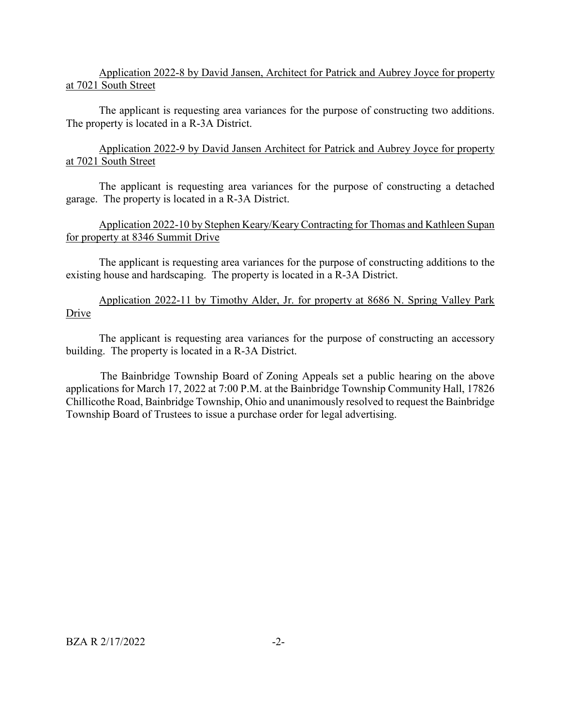## Application 2022-8 by David Jansen, Architect for Patrick and Aubrey Joyce for property at 7021 South Street

The applicant is requesting area variances for the purpose of constructing two additions. The property is located in a R-3A District.

Application 2022-9 by David Jansen Architect for Patrick and Aubrey Joyce for property at 7021 South Street

The applicant is requesting area variances for the purpose of constructing a detached garage. The property is located in a R-3A District.

# Application 2022-10 by Stephen Keary/Keary Contracting for Thomas and Kathleen Supan for property at 8346 Summit Drive

The applicant is requesting area variances for the purpose of constructing additions to the existing house and hardscaping. The property is located in a R-3A District.

Application 2022-11 by Timothy Alder, Jr. for property at 8686 N. Spring Valley Park Drive

The applicant is requesting area variances for the purpose of constructing an accessory building. The property is located in a R-3A District.

The Bainbridge Township Board of Zoning Appeals set a public hearing on the above applications for March 17, 2022 at 7:00 P.M. at the Bainbridge Township Community Hall, 17826 Chillicothe Road, Bainbridge Township, Ohio and unanimously resolved to request the Bainbridge Township Board of Trustees to issue a purchase order for legal advertising.